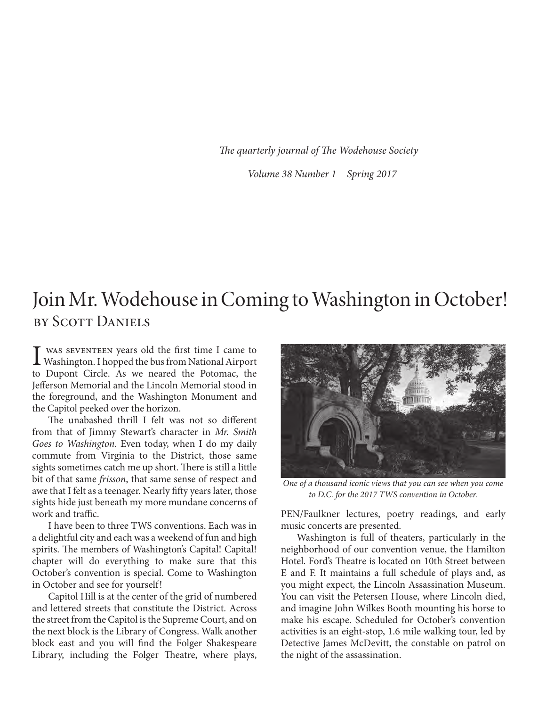*The quarterly journal of The Wodehouse Society*

*Volume 38 Number 1 Spring 2017*

## Join Mr. Wodehouse in Coming to Washington in October! by Scott Daniels

I WAS SEVENTEEN years old the first time I came to<br>Washington. I hopped the bus from National Airport was seventeen years old the first time I came to to Dupont Circle. As we neared the Potomac, the Jefferson Memorial and the Lincoln Memorial stood in the foreground, and the Washington Monument and the Capitol peeked over the horizon.

The unabashed thrill I felt was not so different from that of Jimmy Stewart's character in *Mr. Smith Goes to Washington*. Even today, when I do my daily commute from Virginia to the District, those same sights sometimes catch me up short. There is still a little bit of that same *frisson*, that same sense of respect and awe that I felt as a teenager. Nearly fifty years later, those sights hide just beneath my more mundane concerns of work and traffic.

I have been to three TWS conventions. Each was in a delightful city and each was a weekend of fun and high spirits. The members of Washington's Capital! Capital! chapter will do everything to make sure that this October's convention is special. Come to Washington in October and see for yourself!

Capitol Hill is at the center of the grid of numbered and lettered streets that constitute the District. Across the street from the Capitol is the Supreme Court, and on the next block is the Library of Congress. Walk another block east and you will find the Folger Shakespeare Library, including the Folger Theatre, where plays,



*One of a thousand iconic views that you can see when you come to D.C. for the 2017 TWS convention in October.*

PEN/Faulkner lectures, poetry readings, and early music concerts are presented.

Washington is full of theaters, particularly in the neighborhood of our convention venue, the Hamilton Hotel. Ford's Theatre is located on 10th Street between E and F. It maintains a full schedule of plays and, as you might expect, the Lincoln Assassination Museum. You can visit the Petersen House, where Lincoln died, and imagine John Wilkes Booth mounting his horse to make his escape. Scheduled for October's convention activities is an eight-stop, 1.6 mile walking tour, led by Detective James McDevitt, the constable on patrol on the night of the assassination.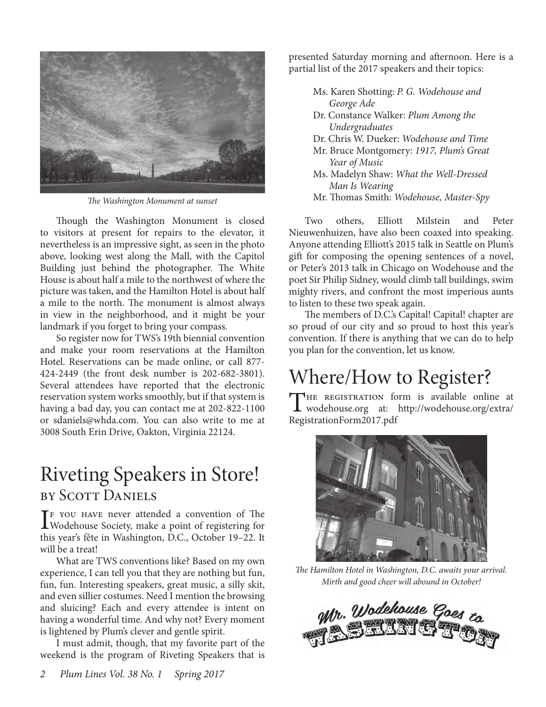

*The Washington Monument at sunset*

Though the Washington Monument is closed to visitors at present for repairs to the elevator, it nevertheless is an impressive sight, as seen in the photo above, looking west along the Mall, with the Capitol Building just behind the photographer. The White House is about half a mile to the northwest of where the picture was taken, and the Hamilton Hotel is about half a mile to the north. The monument is almost always in view in the neighborhood, and it might be your landmark if you forget to bring your compass.

So register now for TWS's 19th biennial convention and make your room reservations at the Hamilton Hotel. Reservations can be made online, or call 877- 424-2449 (the front desk number is 202-682-3801). Several attendees have reported that the electronic reservation system works smoothly, but if that system is having a bad day, you can contact me at 202-822-1100 or sdaniels@whda.com. You can also write to me at 3008 South Erin Drive, Oakton, Virginia 22124.

## Riveting Speakers in Store! by Scott Daniels

 $\prod_{\text{F}}$  YOU HAVE never attended a convention of The<br>Wodehouse Society, make a point of registering for Wodehouse Society, make a point of registering for this year's fête in Washington, D.C., October 19–22. It will be a treat!

What are TWS conventions like? Based on my own experience, I can tell you that they are nothing but fun, fun, fun. Interesting speakers, great music, a silly skit, and even sillier costumes. Need I mention the browsing and sluicing? Each and every attendee is intent on having a wonderful time. And why not? Every moment is lightened by Plum's clever and gentle spirit.

I must admit, though, that my favorite part of the weekend is the program of Riveting Speakers that is

- Ms. Karen Shotting: *P. G. Wodehouse and George Ade*
- Dr. Constance Walker: *Plum Among the Undergraduates*
- Dr. Chris W. Dueker: *Wodehouse and Time*
- Mr. Bruce Montgomery: *1917, Plum's Great Year of Music*
- Ms. Madelyn Shaw: *What the Well-Dressed Man Is Wearing*
- Mr. Thomas Smith: *Wodehouse, Master-Spy*

Two others, Elliott Milstein and Peter Nieuwenhuizen, have also been coaxed into speaking. Anyone attending Elliott's 2015 talk in Seattle on Plum's gift for composing the opening sentences of a novel, or Peter's 2013 talk in Chicago on Wodehouse and the poet Sir Philip Sidney, would climb tall buildings, swim mighty rivers, and confront the most imperious aunts to listen to these two speak again.

The members of D.C.'s Capital! Capital! chapter are so proud of our city and so proud to host this year's convention. If there is anything that we can do to help you plan for the convention, let us know.

# Where/How to Register?

THE REGISTRATION form is available online at wodehouse.org at: http://wodehouse.org/extra/ RegistrationForm2017.pdf



*The Hamilton Hotel in Washington, D.C. awaits your arrival. Mirth and good cheer will abound in October!*

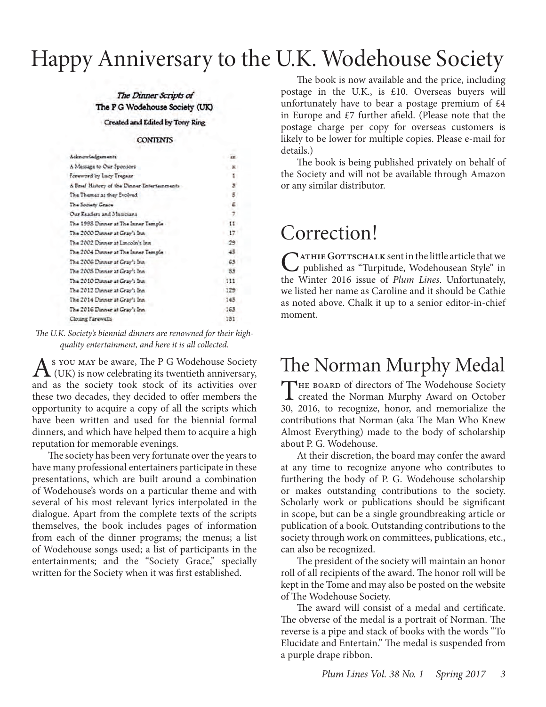# Happy Anniversary to the U.K. Wodehouse Society

#### The Dinner Scripts of The P G Wodehouse Society (UK)

#### Created and Edited by Tony Ring

#### **CONTENTS**

| Acknowledgements                             | $-125$ |
|----------------------------------------------|--------|
| A Message to Our Sponsors                    |        |
| Foreword by Lucy Tregear                     |        |
| A Brief History of the Dinner Entertainments |        |
| The Themes as they Evolved                   |        |
| The Society Grace                            |        |
| Our Readers and Musicians                    |        |
| The 1993 Dunner at The Inner Temple          | u      |
| The 2000 Dunner at Gray's Inn                | 17     |
| The 2002 Danner at Lincoln's Inn             | 29.    |
| The 2004 Dunner at The Inner Temple          | 45     |
| The 2006 Dinner at Gray's Inn                | 63     |
| The 2008 Dunner at Gray's Inn                | 83     |
| The 2010 Dinner at Gray's Inn                | 111    |
| The 2012 Dinner at Gray's Inn                | 125    |
| The 2014 Dunner at Gray's Inn.               | 143    |
| The 2016 Dinner at Gray's Inn.               | 163    |
| Closing Farewells                            | 131    |

*The U.K. Society's biennial dinners are renowned for their highquality entertainment, and here it is all collected.*

 $A$ <sup>s</sup> you may be aware, The P G Wodehouse Society (UK) is now celebrating its twentieth anniversary, and as the society took stock of its activities over these two decades, they decided to offer members the opportunity to acquire a copy of all the scripts which have been written and used for the biennial formal dinners, and which have helped them to acquire a high reputation for memorable evenings.

The society has been very fortunate over the years to have many professional entertainers participate in these presentations, which are built around a combination of Wodehouse's words on a particular theme and with several of his most relevant lyrics interpolated in the dialogue. Apart from the complete texts of the scripts themselves, the book includes pages of information from each of the dinner programs; the menus; a list of Wodehouse songs used; a list of participants in the entertainments; and the "Society Grace," specially written for the Society when it was first established.

The book is now available and the price, including postage in the U.K., is £10. Overseas buyers will unfortunately have to bear a postage premium of  $\text{\pounds}4$ in Europe and  $£7$  further afield. (Please note that the postage charge per copy for overseas customers is likely to be lower for multiple copies. Please e-mail for details.)

The book is being published privately on behalf of the Society and will not be available through Amazon or any similar distributor.

## Correction!

CATHIE GOTTSCHALK sent in the little article that we<br>published as "Turpitude, Wodehousean Style" in the Winter 2016 issue of *Plum Lines*. Unfortunately, we listed her name as Caroline and it should be Cathie as noted above. Chalk it up to a senior editor-in-chief moment.

## The Norman Murphy Medal

THE BOARD of directors of The Wodehouse Society **L** created the Norman Murphy Award on October 30, 2016, to recognize, honor, and memorialize the contributions that Norman (aka The Man Who Knew Almost Everything) made to the body of scholarship about P. G. Wodehouse.

At their discretion, the board may confer the award at any time to recognize anyone who contributes to furthering the body of P. G. Wodehouse scholarship or makes outstanding contributions to the society. Scholarly work or publications should be significant in scope, but can be a single groundbreaking article or publication of a book. Outstanding contributions to the society through work on committees, publications, etc., can also be recognized.

The president of the society will maintain an honor roll of all recipients of the award. The honor roll will be kept in the Tome and may also be posted on the website of The Wodehouse Society.

The award will consist of a medal and certificate. The obverse of the medal is a portrait of Norman. The reverse is a pipe and stack of books with the words "To Elucidate and Entertain." The medal is suspended from a purple drape ribbon.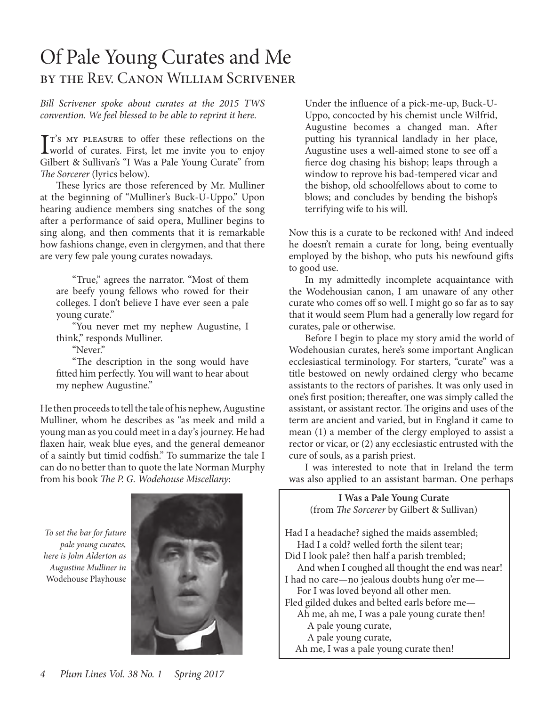## Of Pale Young Curates and Me by the Rev. Canon William Scrivener

#### *Bill Scrivener spoke about curates at the 2015 TWS convention. We feel blessed to be able to reprint it here.*

 $\prod$ <sup>r's</sup> MY PLEASURE to offer these reflections on the world of curates. First, let me invite you to enjoy  $T$ <sup>s</sup> my pleasure to offer these reflections on the Gilbert & Sullivan's "I Was a Pale Young Curate" from *The Sorcerer* (lyrics below).

These lyrics are those referenced by Mr. Mulliner at the beginning of "Mulliner's Buck-U-Uppo." Upon hearing audience members sing snatches of the song after a performance of said opera, Mulliner begins to sing along, and then comments that it is remarkable how fashions change, even in clergymen, and that there are very few pale young curates nowadays.

"True," agrees the narrator. "Most of them are beefy young fellows who rowed for their colleges. I don't believe I have ever seen a pale young curate."

"You never met my nephew Augustine, I think," responds Mulliner.

"Never."

"The description in the song would have fitted him perfectly. You will want to hear about my nephew Augustine."

He then proceeds to tell the tale of his nephew, Augustine Mulliner, whom he describes as "as meek and mild a young man as you could meet in a day's journey. He had flaxen hair, weak blue eyes, and the general demeanor of a saintly but timid codfish." To summarize the tale I can do no better than to quote the late Norman Murphy from his book *The P. G. Wodehouse Miscellany*:

*To set the bar for future pale young curates, here is John Alderton as Augustine Mulliner in*  Wodehouse Playhouse



Under the influence of a pick-me-up, Buck-U-Uppo, concocted by his chemist uncle Wilfrid, Augustine becomes a changed man. After putting his tyrannical landlady in her place, Augustine uses a well-aimed stone to see off a fierce dog chasing his bishop; leaps through a window to reprove his bad-tempered vicar and the bishop, old schoolfellows about to come to blows; and concludes by bending the bishop's terrifying wife to his will.

Now this is a curate to be reckoned with! And indeed he doesn't remain a curate for long, being eventually employed by the bishop, who puts his newfound gifts to good use.

In my admittedly incomplete acquaintance with the Wodehousian canon, I am unaware of any other curate who comes off so well. I might go so far as to say that it would seem Plum had a generally low regard for curates, pale or otherwise.

Before I begin to place my story amid the world of Wodehousian curates, here's some important Anglican ecclesiastical terminology. For starters, "curate" was a title bestowed on newly ordained clergy who became assistants to the rectors of parishes. It was only used in one's first position; thereafter, one was simply called the assistant, or assistant rector. The origins and uses of the term are ancient and varied, but in England it came to mean (1) a member of the clergy employed to assist a rector or vicar, or (2) any ecclesiastic entrusted with the cure of souls, as a parish priest.

I was interested to note that in Ireland the term was also applied to an assistant barman. One perhaps

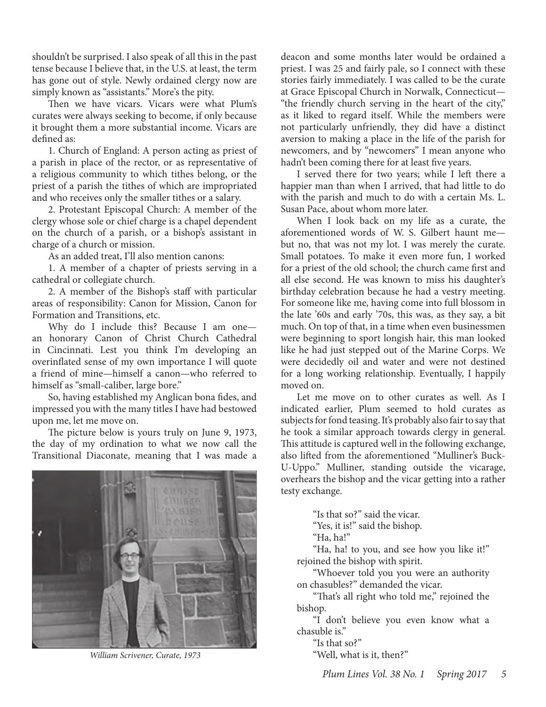shouldn't be surprised. I also speak of all this in the past tense because I believe that, in the U.S. at least, the term has gone out of style. Newly ordained clergy now are simply known as "assistants." More's the pity.

Then we have vicars. Vicars were what Plum's curates were always seeking to become, if only because it brought them a more substantial income. Vicars are defined as:

1. Church of England: A person acting as priest of a parish in place of the rector, or as representative of a religious community to which tithes belong, or the priest of a parish the tithes of which are impropriated and who receives only the smaller tithes or a salary.

on the church of a parish, or a bishop's assistant in charge of a church or mission. 2. Protestant Episcopal Church: A member of the clergy whose sole or chief charge is a chapel dependent

As an added treat, I'll also mention canons:

1. A member of a chapter of priests serving in a cathedral or collegiate church.

2. A member of the Bishop's staff with particular areas of responsibility: Canon for Mission, Canon for Formation and Transitions, etc.

Why do I include this? Because I am one an honorary Canon of Christ Church Cathedral in Cincinnati. Lest you think I'm developing an overinflated sense of my own importance I will quote a friend of mine—himself a canon—who referred to himself as "small-caliber, large bore."

So, having established my Anglican bona fides, and impressed you with the many titles I have had bestowed upon me, let me move on.

The picture below is yours truly on June 9, 1973, the day of my ordination to what we now call the Transitional Diaconate, meaning that I was made a



*William Scrivener, Curate, 1973*

deacon and some months later would be ordained a priest. I was 25 and fairly pale, so I connect with these stories fairly immediately. I was called to be the curate at Grace Episcopal Church in Norwalk, Connecticut— "the friendly church serving in the heart of the city," as it liked to regard itself. While the members were not particularly unfriendly, they did have a distinct aversion to making a place in the life of the parish for newcomers, and by "newcomers" I mean anyone who hadn't been coming there for at least five years.

I served there for two years; while I left there a happier man than when I arrived, that had little to do with the parish and much to do with a certain Ms. L. Susan Pace, about whom more later.

When I look back on my life as a curate, the aforementioned words of W. S. Gilbert haunt me but no, that was not my lot. I was merely the curate. Small potatoes. To make it even more fun, I worked for a priest of the old school; the church came first and all else second. He was known to miss his daughter's birthday celebration because he had a vestry meeting. For someone like me, having come into full blossom in the late '60s and early '70s, this was, as they say, a bit much. On top of that, in a time when even businessmen were beginning to sport longish hair, this man looked like he had just stepped out of the Marine Corps. We were decidedly oil and water and were not destined for a long working relationship. Eventually, I happily moved on.

Let me move on to other curates as well. As I indicated earlier, Plum seemed to hold curates as subjects for fond teasing. It's probably also fair to say that he took a similar approach towards clergy in general. This attitude is captured well in the following exchange, also lifted from the aforementioned "Mulliner's Buck-U-Uppo." Mulliner, standing outside the vicarage, overhears the bishop and the vicar getting into a rather testy exchange.

"Is that so?" said the vicar.

"Yes, it is!" said the bishop.

"Ha, ha!"

"Ha, ha! to you, and see how you like it!" rejoined the bishop with spirit.

"Whoever told you you were an authority on chasubles?" demanded the vicar.

"That's all right who told me," rejoined the bishop.

"I don't believe you even know what a chasuble is."

"Is that so?"

"Well, what is it, then?"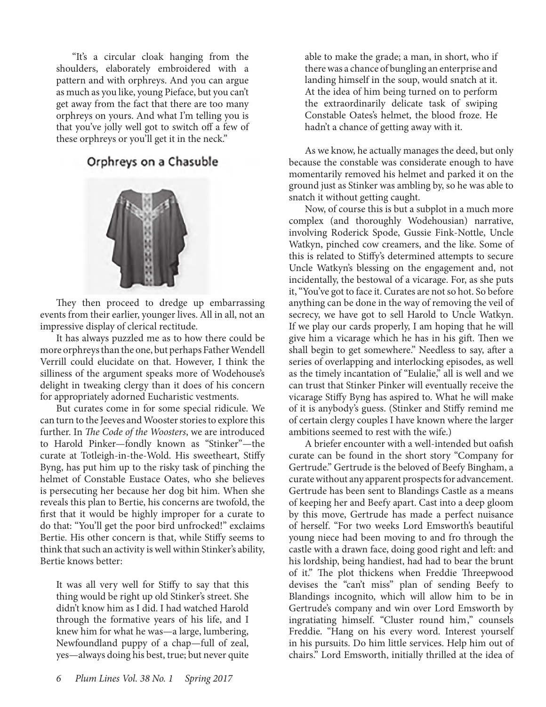"It's a circular cloak hanging from the shoulders, elaborately embroidered with a pattern and with orphreys. And you can argue as much as you like, young Pieface, but you can't get away from the fact that there are too many orphreys on yours. And what I'm telling you is that you've jolly well got to switch off a few of these orphreys or you'll get it in the neck."

#### Orphreys on a Chasuble



They then proceed to dredge up embarrassing events from their earlier, younger lives. All in all, not an impressive display of clerical rectitude.

It has always puzzled me as to how there could be more orphreys than the one, but perhaps Father Wendell Verrill could elucidate on that. However, I think the silliness of the argument speaks more of Wodehouse's delight in tweaking clergy than it does of his concern for appropriately adorned Eucharistic vestments.

But curates come in for some special ridicule. We can turn to the Jeeves and Wooster stories to explore this further. In *The Code of the Woosters*, we are introduced to Harold Pinker—fondly known as "Stinker"—the curate at Totleigh-in-the-Wold. His sweetheart, Stiffy Byng, has put him up to the risky task of pinching the helmet of Constable Eustace Oates, who she believes is persecuting her because her dog bit him. When she reveals this plan to Bertie, his concerns are twofold, the first that it would be highly improper for a curate to do that: "You'll get the poor bird unfrocked!" exclaims Bertie. His other concern is that, while Stiffy seems to think that such an activity is well within Stinker's ability, Bertie knows better:

It was all very well for Stiffy to say that this thing would be right up old Stinker's street. She didn't know him as I did. I had watched Harold through the formative years of his life, and I knew him for what he was—a large, lumbering, Newfoundland puppy of a chap—full of zeal, yes—always doing his best, true; but never quite

able to make the grade; a man, in short, who if there was a chance of bungling an enterprise and landing himself in the soup, would snatch at it. At the idea of him being turned on to perform the extraordinarily delicate task of swiping Constable Oates's helmet, the blood froze. He hadn't a chance of getting away with it.

As we know, he actually manages the deed, but only because the constable was considerate enough to have momentarily removed his helmet and parked it on the ground just as Stinker was ambling by, so he was able to snatch it without getting caught.

Now, of course this is but a subplot in a much more complex (and thoroughly Wodehousian) narrative, involving Roderick Spode, Gussie Fink-Nottle, Uncle Watkyn, pinched cow creamers, and the like. Some of this is related to Stiffy's determined attempts to secure Uncle Watkyn's blessing on the engagement and, not incidentally, the bestowal of a vicarage. For, as she puts it, "You've got to face it. Curates are not so hot. So before anything can be done in the way of removing the veil of secrecy, we have got to sell Harold to Uncle Watkyn. If we play our cards properly, I am hoping that he will give him a vicarage which he has in his gift. Then we shall begin to get somewhere." Needless to say, after a series of overlapping and interlocking episodes, as well as the timely incantation of "Eulalie," all is well and we can trust that Stinker Pinker will eventually receive the vicarage Stiffy Byng has aspired to. What he will make of it is anybody's guess. (Stinker and Stiffy remind me of certain clergy couples I have known where the larger ambitions seemed to rest with the wife.)

A briefer encounter with a well-intended but oafish curate can be found in the short story "Company for Gertrude." Gertrude is the beloved of Beefy Bingham, a curate without any apparent prospects for advancement. Gertrude has been sent to Blandings Castle as a means of keeping her and Beefy apart. Cast into a deep gloom by this move, Gertrude has made a perfect nuisance of herself. "For two weeks Lord Emsworth's beautiful young niece had been moving to and fro through the castle with a drawn face, doing good right and left: and his lordship, being handiest, had had to bear the brunt of it." The plot thickens when Freddie Threepwood devises the "can't miss" plan of sending Beefy to Blandings incognito, which will allow him to be in Gertrude's company and win over Lord Emsworth by ingratiating himself. "Cluster round him," counsels Freddie. "Hang on his every word. Interest yourself in his pursuits. Do him little services. Help him out of chairs." Lord Emsworth, initially thrilled at the idea of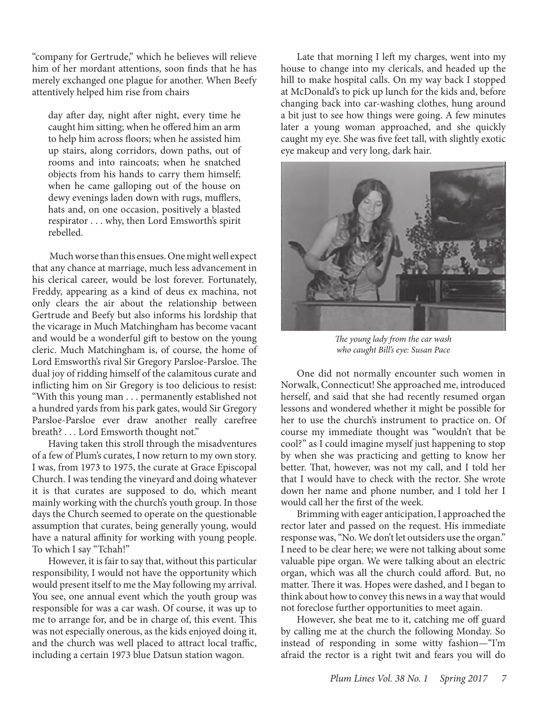"company for Gertrude," which he believes will relieve him of her mordant attentions, soon finds that he has merely exchanged one plague for another. When Beefy attentively helped him rise from chairs

day after day, night after night, every time he caught him sitting; when he offered him an arm to help him across floors; when he assisted him up stairs, along corridors, down paths, out of rooms and into raincoats; when he snatched objects from his hands to carry them himself; when he came galloping out of the house on dewy evenings laden down with rugs, mufflers, hats and, on one occasion, positively a blasted respirator . . . why, then Lord Emsworth's spirit rebelled.

Lord Emsworth's rival Sir Gregory Parsloe-Parsloe. The dual joy of ridding himself of the calamitous curate and inflicting him on Sir Gregory is too delicious to resist: "With this young man . . . permanently established not a hundred yards from his park gates, would Sir Gregory Parsloe-Parsloe ever draw another really carefree breath? . . . Lord Emsworth thought not." Much worse than this ensues. One might well expect that any chance at marriage, much less advancement in his clerical career, would be lost forever. Fortunately, Freddy, appearing as a kind of deus ex machina, not only clears the air about the relationship between Gertrude and Beefy but also informs his lordship that the vicarage in Much Matchingham has become vacant and would be a wonderful gift to bestow on the young cleric. Much Matchingham is, of course, the home of

Having taken this stroll through the misadventures of a few of Plum's curates, I now return to my own story. I was, from 1973 to 1975, the curate at Grace Episcopal Church. I was tending the vineyard and doing whatever it is that curates are supposed to do, which meant mainly working with the church's youth group. In those days the Church seemed to operate on the questionable assumption that curates, being generally young, would have a natural affinity for working with young people. To which I say "Tchah!"

However, it is fair to say that, without this particular responsibility, I would not have the opportunity which would present itself to me the May following my arrival. You see, one annual event which the youth group was responsible for was a car wash. Of course, it was up to me to arrange for, and be in charge of, this event. This was not especially onerous, as the kids enjoyed doing it, and the church was well placed to attract local traffic, including a certain 1973 blue Datsun station wagon.

Late that morning I left my charges, went into my house to change into my clericals, and headed up the hill to make hospital calls. On my way back I stopped at McDonald's to pick up lunch for the kids and, before changing back into car-washing clothes, hung around a bit just to see how things were going. A few minutes later a young woman approached, and she quickly caught my eye. She was five feet tall, with slightly exotic eye makeup and very long, dark hair.



*The young lady from the car wash who caught Bill's eye: Susan Pace*

One did not normally encounter such women in Norwalk, Connecticut! She approached me, introduced herself, and said that she had recently resumed organ lessons and wondered whether it might be possible for her to use the church's instrument to practice on. Of course my immediate thought was "wouldn't that be cool?" as I could imagine myself just happening to stop by when she was practicing and getting to know her better. That, however, was not my call, and I told her that I would have to check with the rector. She wrote down her name and phone number, and I told her I would call her the first of the week.

Brimming with eager anticipation, I approached the rector later and passed on the request. His immediate response was, "No. We don't let outsiders use the organ." I need to be clear here; we were not talking about some valuable pipe organ. We were talking about an electric organ, which was all the church could afford. But, no matter. There it was. Hopes were dashed, and I began to think about how to convey this news in a way that would not foreclose further opportunities to meet again.

However, she beat me to it, catching me off guard by calling me at the church the following Monday. So instead of responding in some witty fashion—"I'm afraid the rector is a right twit and fears you will do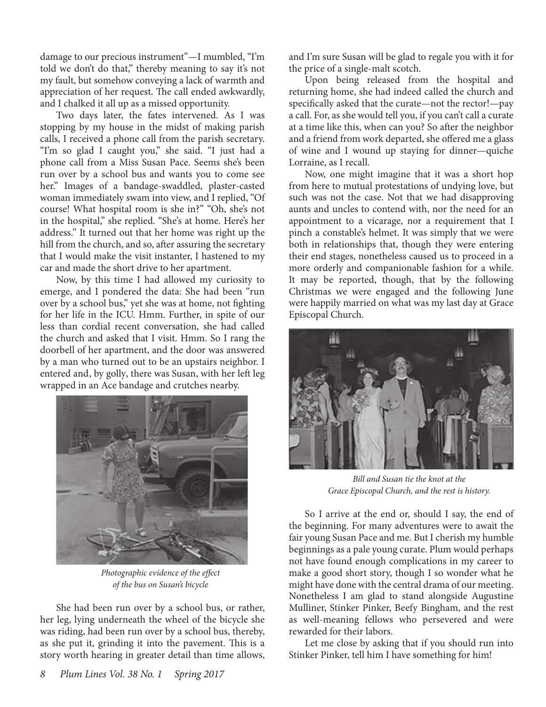damage to our precious instrument"—I mumbled, "I'm told we don't do that," thereby meaning to say it's not my fault, but somehow conveying a lack of warmth and appreciation of her request. The call ended awkwardly, and I chalked it all up as a missed opportunity.

Two days later, the fates intervened. As I was stopping by my house in the midst of making parish calls, I received a phone call from the parish secretary. "I'm so glad I caught you," she said. "I just had a phone call from a Miss Susan Pace. Seems she's been run over by a school bus and wants you to come see her." Images of a bandage-swaddled, plaster-casted woman immediately swam into view, and I replied, "Of course! What hospital room is she in?" "Oh, she's not in the hospital," she replied. "She's at home. Here's her address." It turned out that her home was right up the hill from the church, and so, after assuring the secretary that I would make the visit instanter, I hastened to my car and made the short drive to her apartment.

Now, by this time I had allowed my curiosity to emerge, and I pondered the data: She had been "run over by a school bus," yet she was at home, not fighting for her life in the ICU. Hmm. Further, in spite of our less than cordial recent conversation, she had called the church and asked that I visit. Hmm. So I rang the doorbell of her apartment, and the door was answered by a man who turned out to be an upstairs neighbor. I entered and, by golly, there was Susan, with her left leg wrapped in an Ace bandage and crutches nearby.



*Photographic evidence of the effect of the bus on Susan's bicycle* 

She had been run over by a school bus, or rather, her leg, lying underneath the wheel of the bicycle she was riding, had been run over by a school bus, thereby, as she put it, grinding it into the pavement. This is a story worth hearing in greater detail than time allows,

and I'm sure Susan will be glad to regale you with it for the price of a single-malt scotch.

Upon being released from the hospital and returning home, she had indeed called the church and specifically asked that the curate—not the rector!—pay a call. For, as she would tell you, if you can't call a curate at a time like this, when can you? So after the neighbor and a friend from work departed, she offered me a glass of wine and I wound up staying for dinner—quiche Lorraine, as I recall.

Now, one might imagine that it was a short hop from here to mutual protestations of undying love, but such was not the case. Not that we had disapproving aunts and uncles to contend with, nor the need for an appointment to a vicarage, nor a requirement that I pinch a constable's helmet. It was simply that we were both in relationships that, though they were entering their end stages, nonetheless caused us to proceed in a more orderly and companionable fashion for a while. It may be reported, though, that by the following Christmas we were engaged and the following June were happily married on what was my last day at Grace Episcopal Church.



*Bill and Susan tie the knot at the Grace Episcopal Church, and the rest is history.* 

So I arrive at the end or, should I say, the end of the beginning. For many adventures were to await the fair young Susan Pace and me. But I cherish my humble beginnings as a pale young curate. Plum would perhaps not have found enough complications in my career to make a good short story, though I so wonder what he might have done with the central drama of our meeting. Nonetheless I am glad to stand alongside Augustine Mulliner, Stinker Pinker, Beefy Bingham, and the rest as well-meaning fellows who persevered and were rewarded for their labors.

Let me close by asking that if you should run into Stinker Pinker, tell him I have something for him!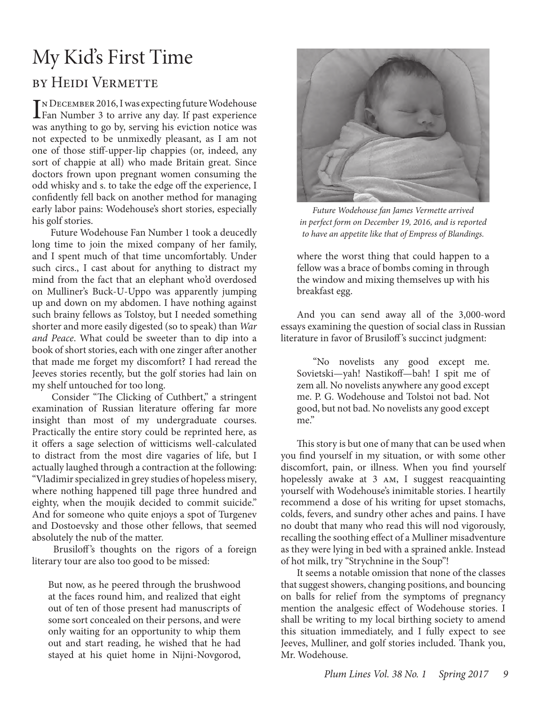# My Kid's First Time

### by Heidi Vermette

IN DECEMBER 2016, I was expecting future Wodehouse<br>Fan Number 3 to arrive any day. If past experience n December 2016, I was expecting future Wodehouse was anything to go by, serving his eviction notice was not expected to be unmixedly pleasant, as I am not one of those stiff-upper-lip chappies (or, indeed, any sort of chappie at all) who made Britain great. Since doctors frown upon pregnant women consuming the odd whisky and s. to take the edge off the experience, I confidently fell back on another method for managing early labor pains: Wodehouse's short stories, especially his golf stories.

 Future Wodehouse Fan Number 1 took a deucedly long time to join the mixed company of her family, and I spent much of that time uncomfortably. Under such circs., I cast about for anything to distract my mind from the fact that an elephant who'd overdosed on Mulliner's Buck-U-Uppo was apparently jumping up and down on my abdomen. I have nothing against such brainy fellows as Tolstoy, but I needed something shorter and more easily digested (so to speak) than *War and Peace*. What could be sweeter than to dip into a book of short stories, each with one zinger after another that made me forget my discomfort? I had reread the Jeeves stories recently, but the golf stories had lain on my shelf untouched for too long.

 Consider "The Clicking of Cuthbert," a stringent examination of Russian literature offering far more insight than most of my undergraduate courses. Practically the entire story could be reprinted here, as it offers a sage selection of witticisms well-calculated to distract from the most dire vagaries of life, but I actually laughed through a contraction at the following: "Vladimir specialized in grey studies of hopeless misery, where nothing happened till page three hundred and eighty, when the moujik decided to commit suicide." And for someone who quite enjoys a spot of Turgenev and Dostoevsky and those other fellows, that seemed absolutely the nub of the matter.

Brusiloff's thoughts on the rigors of a foreign literary tour are also too good to be missed:

But now, as he peered through the brushwood at the faces round him, and realized that eight out of ten of those present had manuscripts of some sort concealed on their persons, and were only waiting for an opportunity to whip them out and start reading, he wished that he had stayed at his quiet home in Nijni-Novgorod,



*Future Wodehouse fan James Vermette arrived in perfect form on December 19, 2016, and is reported to have an appetite like that of Empress of Blandings.*

where the worst thing that could happen to a fellow was a brace of bombs coming in through the window and mixing themselves up with his breakfast egg.

And you can send away all of the 3,000-word essays examining the question of social class in Russian literature in favor of Brusiloff 's succinct judgment:

"No novelists any good except me. Sovietski—yah! Nastikoff—bah! I spit me of zem all. No novelists anywhere any good except me. P. G. Wodehouse and Tolstoi not bad. Not good, but not bad. No novelists any good except me."

This story is but one of many that can be used when you find yourself in my situation, or with some other discomfort, pain, or illness. When you find yourself hopelessly awake at 3 am, I suggest reacquainting yourself with Wodehouse's inimitable stories. I heartily recommend a dose of his writing for upset stomachs, colds, fevers, and sundry other aches and pains. I have no doubt that many who read this will nod vigorously, recalling the soothing effect of a Mulliner misadventure as they were lying in bed with a sprained ankle. Instead of hot milk, try "Strychnine in the Soup"!

It seems a notable omission that none of the classes that suggest showers, changing positions, and bouncing on balls for relief from the symptoms of pregnancy mention the analgesic effect of Wodehouse stories. I shall be writing to my local birthing society to amend this situation immediately, and I fully expect to see Jeeves, Mulliner, and golf stories included. Thank you, Mr. Wodehouse.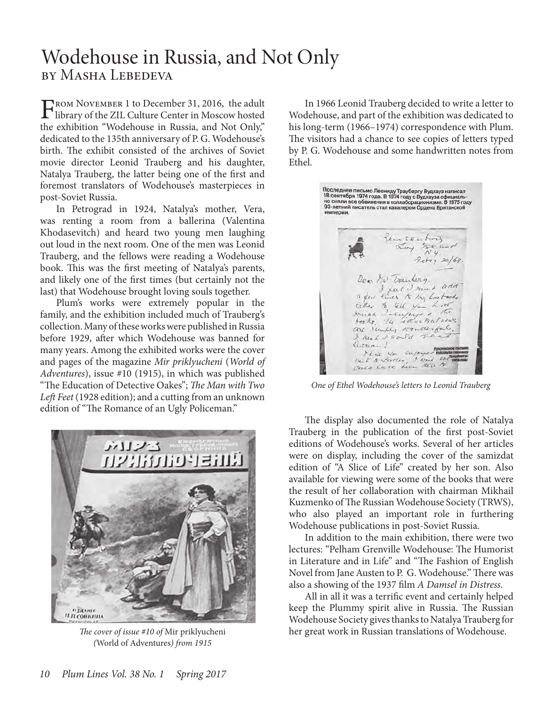## Wodehouse in Russia, and Not Only by Masha Lebedeva

FROM NOVEMBER 1 to December 31, 2016, the adult<br>library of the ZIL Culture Center in Moscow hosted<br>the publishing "We delegate Published" and Net Orlea the exhibition "Wodehouse in Russia, and Not Only," dedicated to the 135th anniversary of P. G. Wodehouse's birth. The exhibit consisted of the archives of Soviet movie director Leonid Trauberg and his daughter, Natalya Trauberg, the latter being one of the first and foremost translators of Wodehouse's masterpieces in post-Soviet Russia.

In Petrograd in 1924, Natalya's mother, Vera, was renting a room from a ballerina (Valentina Khodasevitch) and heard two young men laughing out loud in the next room. One of the men was Leonid Trauberg, and the fellows were reading a Wodehouse book. This was the first meeting of Natalya's parents, and likely one of the first times (but certainly not the last) that Wodehouse brought loving souls together.

Plum's works were extremely popular in the family, and the exhibition included much of Trauberg's collection. Many of these works were published in Russia before 1929, after which Wodehouse was banned for many years. Among the exhibited works were the сover and pages of the magazine *Mir priklyucheni* (*World of Adventures*), issue #10 (1915), in which was published "The Education of Detective Oakes"; *The Man with Two Left Feet* (1928 edition); and a cutting from an unknown edition of "The Romance of an Ugly Policeman."



*The cover of issue #10 of* Mir priklyucheni *(*World of Adventures*) from 1915*

In 1966 Leonid Trauberg decided to write a letter to Wodehouse, and part of the exhibition was dedicated to his long-term (1966–1974) correspondence with Plum. The visitors had a chance to see copies of letters typed by P. G. Wodehouse and some handwritten notes from Ethel.

Последнее письмо Леониду Траубергу Вудхауз написал<br>18 сентября 1974 года. В 1974 году с Вудхауза официально<br>но сняли все обвинения в коллаборационизме. В 1975 году<br>93-летний писатель стал кавалером Ордена Британской<br>импер империи. Tem senting Loy Ise and  $Ny.$  $7.64720/68$ Dear No Tranting. a few lines to my kin taids Either to tell you have the means of the top of the tell of the tell of the tell of the same of the content of the content of the content of the content of the content of the content of the content of the content of the co I know I could se Kussian! This you suppose the

*One of Ethel Wodehouse's letters to Leonid Trauberg*

The display also documented the role of Natalya Trauberg in the publication of the first post-Soviet editions of Wodehouse's works. Several of her articles were on display, including the cover of the samizdat edition of "A Slice of Life" created by her son. Also available for viewing were some of the books that were the result of her collaboration with chairman Mikhail Kuzmenko of The Russian Wodehouse Society (TRWS), who also played an important role in furthering Wodehouse publications in post-Soviet Russia.

In addition to the main exhibition, there were two lectures: "Pelham Grenville Wodehouse: The Humorist in Literature and in Life" and "The Fashion of English Novel from Jane Austen to P. G. Wodehouse." There was also a showing of the 1937 film *A Damsel in Distress*.

All in all it was a terrific event and certainly helped keep the Plummy spirit alive in Russia. The Russian Wodehouse Society gives thanks to Natalya Trauberg for her great work in Russian translations of Wodehouse.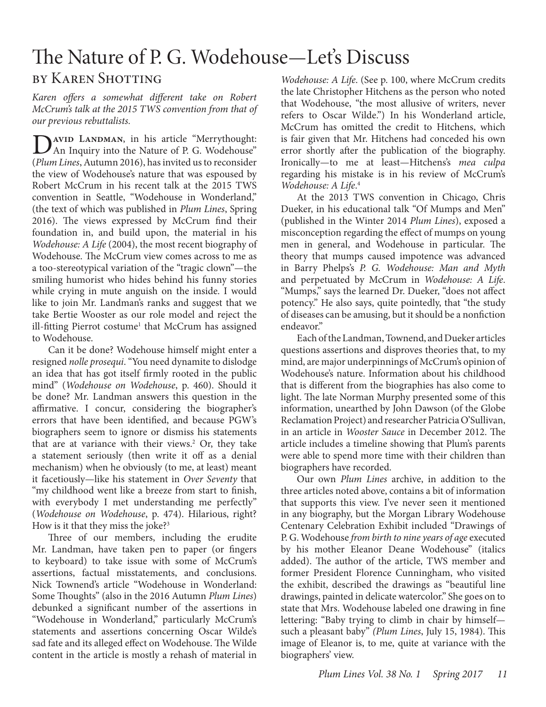# The Nature of P. G. Wodehouse—Let's Discuss

#### by Karen Shotting

*Karen offers a somewhat different take on Robert McCrum's talk at the 2015 TWS convention from that of our previous rebuttalists.* 

DAVID LANDMAN, in his article "Merrythought:<br>An Inquiry into the Nature of P. G. Wodehouse" (*Plum Lines*, Autumn 2016), has invited us to reconsider the view of Wodehouse's nature that was espoused by Robert McCrum in his recent talk at the 2015 TWS convention in Seattle, "Wodehouse in Wonderland," (the text of which was published in *Plum Lines*, Spring 2016). The views expressed by McCrum find their foundation in, and build upon, the material in his *Wodehouse: A Life* (2004), the most recent biography of Wodehouse. The McCrum view comes across to me as a too-stereotypical variation of the "tragic clown"—the smiling humorist who hides behind his funny stories while crying in mute anguish on the inside. I would like to join Mr. Landman's ranks and suggest that we take Bertie Wooster as our role model and reject the ill-fitting Pierrot costume<sup>1</sup> that McCrum has assigned to Wodehouse.

Can it be done? Wodehouse himself might enter a resigned *nolle prosequi*. "You need dynamite to dislodge an idea that has got itself firmly rooted in the public mind" (*Wodehouse on Wodehouse*, p. 460). Should it be done? Mr. Landman answers this question in the affirmative. I concur, considering the biographer's errors that have been identified, and because PGW's biographers seem to ignore or dismiss his statements that are at variance with their views.<sup>2</sup> Or, they take a statement seriously (then write it off as a denial mechanism) when he obviously (to me, at least) meant it facetiously—like his statement in *Over Seventy* that "my childhood went like a breeze from start to finish, with everybody I met understanding me perfectly" (*Wodehouse on Wodehouse*, p. 474). Hilarious, right? How is it that they miss the joke?<sup>3</sup>

Three of our members, including the erudite Mr. Landman, have taken pen to paper (or fingers to keyboard) to take issue with some of McCrum's assertions, factual misstatements, and conclusions. Nick Townend's article "Wodehouse in Wonderland: Some Thoughts" (also in the 2016 Autumn *Plum Lines*) debunked a significant number of the assertions in "Wodehouse in Wonderland," particularly McCrum's statements and assertions concerning Oscar Wilde's sad fate and its alleged effect on Wodehouse. The Wilde content in the article is mostly a rehash of material in

*Wodehouse: A Life*. (See p. 100, where McCrum credits the late Christopher Hitchens as the person who noted that Wodehouse, "the most allusive of writers, never refers to Oscar Wilde.") In his Wonderland article, McCrum has omitted the credit to Hitchens, which is fair given that Mr. Hitchens had conceded his own error shortly after the publication of the biography. Ironically—to me at least—Hitchens's *mea culpa* regarding his mistake is in his review of McCrum's *Wodehouse: A Life*. 4

At the 2013 TWS convention in Chicago, Chris Dueker, in his educational talk "Of Mumps and Men" (published in the Winter 2014 *Plum Lines*), exposed a misconception regarding the effect of mumps on young men in general, and Wodehouse in particular. The theory that mumps caused impotence was advanced in Barry Phelps's *P. G. Wodehouse: Man and Myth* and perpetuated by McCrum in *Wodehouse: A Life*. "Mumps," says the learned Dr. Dueker, "does not affect potency." He also says, quite pointedly, that "the study of diseases can be amusing, but it should be a nonfiction endeavor."

Each of the Landman, Townend, and Dueker articles questions assertions and disproves theories that, to my mind, are major underpinnings of McCrum's opinion of Wodehouse's nature. Information about his childhood that is different from the biographies has also come to light. The late Norman Murphy presented some of this information, unearthed by John Dawson (of the Globe Reclamation Project) and researcher Patricia O'Sullivan, in an article in *Wooster Sauce* in December 2012. The article includes a timeline showing that Plum's parents were able to spend more time with their children than biographers have recorded.

Our own *Plum Lines* archive, in addition to the three articles noted above, contains a bit of information that supports this view. I've never seen it mentioned in any biography, but the Morgan Library Wodehouse Centenary Celebration Exhibit included "Drawings of P. G. Wodehouse *from birth to nine years of age* executed by his mother Eleanor Deane Wodehouse" (italics added). The author of the article, TWS member and former President Florence Cunningham, who visited the exhibit, described the drawings as "beautiful line drawings, painted in delicate watercolor." She goes on to state that Mrs. Wodehouse labeled one drawing in fine lettering: "Baby trying to climb in chair by himself such a pleasant baby" *(Plum Lines*, July 15, 1984). This image of Eleanor is, to me, quite at variance with the biographers' view.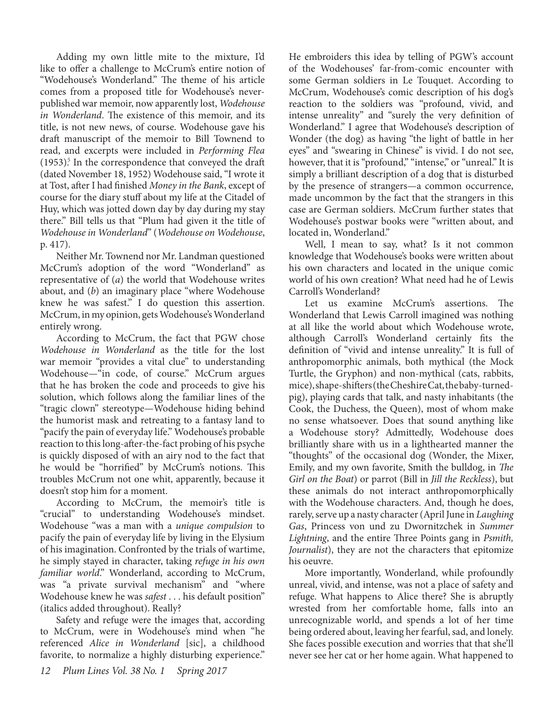Adding my own little mite to the mixture, I'd like to offer a challenge to McCrum's entire notion of "Wodehouse's Wonderland." The theme of his article comes from a proposed title for Wodehouse's neverpublished war memoir, now apparently lost, *Wodehouse in Wonderland*. The existence of this memoir, and its title, is not new news, of course. Wodehouse gave his draft manuscript of the memoir to Bill Townend to read, and excerpts were included in *Performing Flea*  (1953)<sup>5</sup>. In the correspondence that conveyed the draft (dated November 18, 1952) Wodehouse said, "I wrote it at Tost, after I had finished *Money in the Bank*, except of course for the diary stuff about my life at the Citadel of Huy, which was jotted down day by day during my stay there." Bill tells us that "Plum had given it the title of *Wodehouse in Wonderland*" (*Wodehouse on Wodehouse*, p. 417).

Neither Mr. Townend nor Mr. Landman questioned McCrum's adoption of the word "Wonderland" as representative of (*a*) the world that Wodehouse writes about, and (*b*) an imaginary place "where Wodehouse knew he was safest." I do question this assertion. McCrum, in my opinion, gets Wodehouse's Wonderland entirely wrong.

According to McCrum, the fact that PGW chose *Wodehouse in Wonderland* as the title for the lost war memoir "provides a vital clue" to understanding Wodehouse—"in code, of course." McCrum argues that he has broken the code and proceeds to give his solution, which follows along the familiar lines of the "tragic clown" stereotype—Wodehouse hiding behind the humorist mask and retreating to a fantasy land to "pacify the pain of everyday life." Wodehouse's probable reaction to this long-after-the-fact probing of his psyche is quickly disposed of with an airy nod to the fact that he would be "horrified" by McCrum's notions. This troubles McCrum not one whit, apparently, because it doesn't stop him for a moment.

According to McCrum, the memoir's title is "crucial" to understanding Wodehouse's mindset. Wodehouse "was a man with a *unique compulsion* to pacify the pain of everyday life by living in the Elysium of his imagination. Confronted by the trials of wartime, he simply stayed in character, taking *refuge in his own familiar world.*" Wonderland, according to McCrum, was "a private survival mechanism" and "where Wodehouse knew he was *safest* . . . his default position" (italics added throughout). Really?

Safety and refuge were the images that, according to McCrum, were in Wodehouse's mind when "he referenced *Alice in Wonderland* [sic], a childhood favorite, to normalize a highly disturbing experience."

He embroiders this idea by telling of PGW's account of the Wodehouses' far-from-comic encounter with some German soldiers in Le Touquet. According to McCrum, Wodehouse's comic description of his dog's reaction to the soldiers was "profound, vivid, and intense unreality" and "surely the very definition of Wonderland." I agree that Wodehouse's description of Wonder (the dog) as having "the light of battle in her eyes" and "swearing in Chinese" is vivid. I do not see, however, that it is "profound," "intense," or "unreal." It is simply a brilliant description of a dog that is disturbed by the presence of strangers—a common occurrence, made uncommon by the fact that the strangers in this case are German soldiers. McCrum further states that Wodehouse's postwar books were "written about, and located in, Wonderland."

Well, I mean to say, what? Is it not common knowledge that Wodehouse's books were written about his own characters and located in the unique comic world of his own creation? What need had he of Lewis Carroll's Wonderland?

Let us examine McCrum's assertions. The Wonderland that Lewis Carroll imagined was nothing at all like the world about which Wodehouse wrote, although Carroll's Wonderland certainly fits the definition of "vivid and intense unreality." It is full of anthropomorphic animals, both mythical (the Mock Turtle, the Gryphon) and non-mythical (cats, rabbits, mice), shape-shifters (the Cheshire Cat, the baby-turnedpig), playing cards that talk, and nasty inhabitants (the Cook, the Duchess, the Queen), most of whom make no sense whatsoever. Does that sound anything like a Wodehouse story? Admittedly, Wodehouse does brilliantly share with us in a lighthearted manner the "thoughts" of the occasional dog (Wonder, the Mixer, Emily, and my own favorite, Smith the bulldog, in *The Girl on the Boat*) or parrot (Bill in *Jill the Reckless*), but these animals do not interact anthropomorphically with the Wodehouse characters. And, though he does, rarely, serve up a nasty character (April June in *Laughing Gas*, Princess von und zu Dwornitzchek in *Summer Lightning*, and the entire Three Points gang in *Psmith, Journalist*), they are not the characters that epitomize his oeuvre.

More importantly, Wonderland, while profoundly unreal, vivid, and intense, was not a place of safety and refuge. What happens to Alice there? She is abruptly wrested from her comfortable home, falls into an unrecognizable world, and spends a lot of her time being ordered about, leaving her fearful, sad, and lonely. She faces possible execution and worries that that she'll never see her cat or her home again. What happened to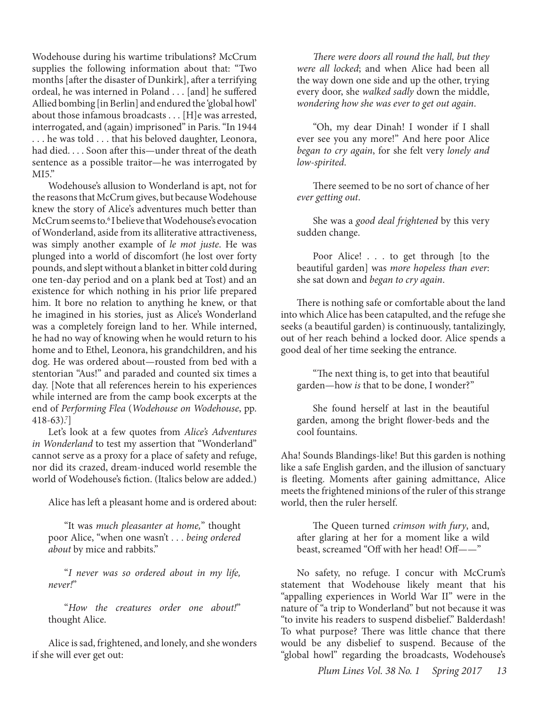Wodehouse during his wartime tribulations? McCrum supplies the following information about that: "Two months [after the disaster of Dunkirk], after a terrifying ordeal, he was interned in Poland . . . [and] he suffered Allied bombing [in Berlin] and endured the 'global howl' about those infamous broadcasts . . . [H]e was arrested, interrogated, and (again) imprisoned" in Paris. "In 1944 . . . he was told . . . that his beloved daughter, Leonora, had died. . . . Soon after this—under threat of the death sentence as a possible traitor—he was interrogated by  $MI5."$ 

Wodehouse's allusion to Wonderland is apt, not for the reasons that McCrum gives, but because Wodehouse knew the story of Alice's adventures much better than McCrum seems to.6 I believe that Wodehouse's evocation of Wonderland, aside from its alliterative attractiveness, was simply another example of *le mot juste*. He was plunged into a world of discomfort (he lost over forty pounds, and slept without a blanket in bitter cold during one ten-day period and on a plank bed at Tost) and an existence for which nothing in his prior life prepared him. It bore no relation to anything he knew, or that he imagined in his stories, just as Alice's Wonderland was a completely foreign land to her. While interned, he had no way of knowing when he would return to his home and to Ethel, Leonora, his grandchildren, and his dog. He was ordered about—rousted from bed with a stentorian "Aus!" and paraded and counted six times a day. [Note that all references herein to his experiences while interned are from the camp book excerpts at the end of *Performing Flea* (*Wodehouse on Wodehouse*, pp.  $418-63$ ).<sup>7</sup>]

Let's look at a few quotes from *Alice's Adventures in Wonderland* to test my assertion that "Wonderland" cannot serve as a proxy for a place of safety and refuge, nor did its crazed, dream-induced world resemble the world of Wodehouse's fiction. (Italics below are added.)

Alice has left a pleasant home and is ordered about:

"It was *much pleasanter at home,*" thought poor Alice, "when one wasn't . . . *being ordered about* by mice and rabbits."

"*I never was so ordered about in my life, never!*"

"*How the creatures order one about!*" thought Alice.

Alice is sad, frightened, and lonely, and she wonders if she will ever get out:

*There were doors all round the hall, but they were all locked*; and when Alice had been all the way down one side and up the other, trying every door, she *walked sadly* down the middle, *wondering how she was ever to get out again*.

"Oh, my dear Dinah! I wonder if I shall ever see you any more!" And here poor Alice *began to cry again*, for she felt very *lonely and low-spirited*.

There seemed to be no sort of chance of her *ever getting out*.

She was a *good deal frightened* by this very sudden change.

Poor Alice! . . . to get through [to the beautiful garden] was *more hopeless than ever*: she sat down and *began to cry again*.

There is nothing safe or comfortable about the land into which Alice has been catapulted, and the refuge she seeks (a beautiful garden) is continuously, tantalizingly, out of her reach behind a locked door. Alice spends a good deal of her time seeking the entrance.

"The next thing is, to get into that beautiful garden—how *is* that to be done, I wonder?"

She found herself at last in the beautiful garden, among the bright flower-beds and the cool fountains.

Aha! Sounds Blandings-like! But this garden is nothing like a safe English garden, and the illusion of sanctuary is fleeting. Moments after gaining admittance, Alice meets the frightened minions of the ruler of this strange world, then the ruler herself.

The Queen turned *crimson with fury*, and, after glaring at her for a moment like a wild beast, screamed "Off with her head! Off——"

No safety, no refuge. I concur with McCrum's statement that Wodehouse likely meant that his "appalling experiences in World War II" were in the nature of "a trip to Wonderland" but not because it was "to invite his readers to suspend disbelief." Balderdash! To what purpose? There was little chance that there would be any disbelief to suspend. Because of the "global howl" regarding the broadcasts, Wodehouse's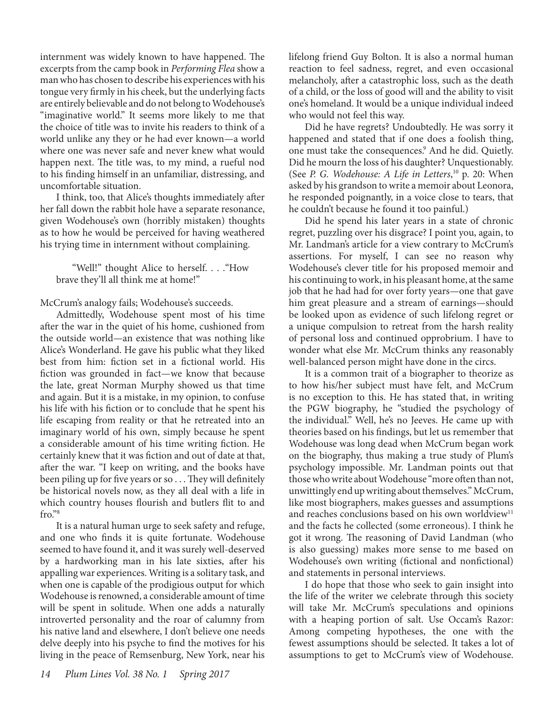internment was widely known to have happened. The excerpts from the camp book in *Performing Flea* show a man who has chosen to describe his experiences with his tongue very firmly in his cheek, but the underlying facts are entirely believable and do not belong to Wodehouse's "imaginative world." It seems more likely to me that the choice of title was to invite his readers to think of a world unlike any they or he had ever known—a world where one was never safe and never knew what would happen next. The title was, to my mind, a rueful nod to his finding himself in an unfamiliar, distressing, and uncomfortable situation.

I think, too, that Alice's thoughts immediately after her fall down the rabbit hole have a separate resonance, given Wodehouse's own (horribly mistaken) thoughts as to how he would be perceived for having weathered his trying time in internment without complaining.

"Well!" thought Alice to herself. . . ."How brave they'll all think me at home!"

McCrum's analogy fails; Wodehouse's succeeds.

Admittedly, Wodehouse spent most of his time after the war in the quiet of his home, cushioned from the outside world—an existence that was nothing like Alice's Wonderland. He gave his public what they liked best from him: fiction set in a fictional world. His fiction was grounded in fact—we know that because the late, great Norman Murphy showed us that time and again. But it is a mistake, in my opinion, to confuse his life with his fiction or to conclude that he spent his life escaping from reality or that he retreated into an imaginary world of his own, simply because he spent a considerable amount of his time writing fiction. He certainly knew that it was fiction and out of date at that, after the war. "I keep on writing, and the books have been piling up for five years or so . . . They will definitely be historical novels now, as they all deal with a life in which country houses flourish and butlers flit to and fro."8

It is a natural human urge to seek safety and refuge, and one who finds it is quite fortunate. Wodehouse seemed to have found it, and it was surely well-deserved by a hardworking man in his late sixties, after his appalling war experiences. Writing is a solitary task, and when one is capable of the prodigious output for which Wodehouse is renowned, a considerable amount of time will be spent in solitude. When one adds a naturally introverted personality and the roar of calumny from his native land and elsewhere, I don't believe one needs delve deeply into his psyche to find the motives for his living in the peace of Remsenburg, New York, near his

lifelong friend Guy Bolton. It is also a normal human reaction to feel sadness, regret, and even occasional melancholy, after a catastrophic loss, such as the death of a child, or the loss of good will and the ability to visit one's homeland. It would be a unique individual indeed who would not feel this way.

Did he have regrets? Undoubtedly. He was sorry it happened and stated that if one does a foolish thing, one must take the consequences.<sup>9</sup> And he did. Quietly. Did he mourn the loss of his daughter? Unquestionably. (See *P. G. Wodehouse: A Life in Letters*,<sup>10</sup> p. 20: When asked by his grandson to write a memoir about Leonora, he responded poignantly, in a voice close to tears, that he couldn't because he found it too painful.)

Did he spend his later years in a state of chronic regret, puzzling over his disgrace? I point you, again, to Mr. Landman's article for a view contrary to McCrum's assertions. For myself, I can see no reason why Wodehouse's clever title for his proposed memoir and his continuing to work, in his pleasant home, at the same job that he had had for over forty years—one that gave him great pleasure and a stream of earnings—should be looked upon as evidence of such lifelong regret or a unique compulsion to retreat from the harsh reality of personal loss and continued opprobrium. I have to wonder what else Mr. McCrum thinks any reasonably well-balanced person might have done in the circs.

It is a common trait of a biographer to theorize as to how his/her subject must have felt, and McCrum is no exception to this. He has stated that, in writing the PGW biography, he "studied the psychology of the individual." Well, he's no Jeeves. He came up with theories based on his findings, but let us remember that Wodehouse was long dead when McCrum began work on the biography, thus making a true study of Plum's psychology impossible. Mr. Landman points out that those who write about Wodehouse "more often than not, unwittingly end up writing about themselves." McCrum, like most biographers, makes guesses and assumptions and reaches conclusions based on his own worldview<sup>11</sup> and the facts he collected (some erroneous). I think he got it wrong. The reasoning of David Landman (who is also guessing) makes more sense to me based on Wodehouse's own writing (fictional and nonfictional) and statements in personal interviews.

I do hope that those who seek to gain insight into the life of the writer we celebrate through this society will take Mr. McCrum's speculations and opinions with a heaping portion of salt. Use Occam's Razor: Among competing hypotheses, the one with the fewest assumptions should be selected. It takes a lot of assumptions to get to McCrum's view of Wodehouse.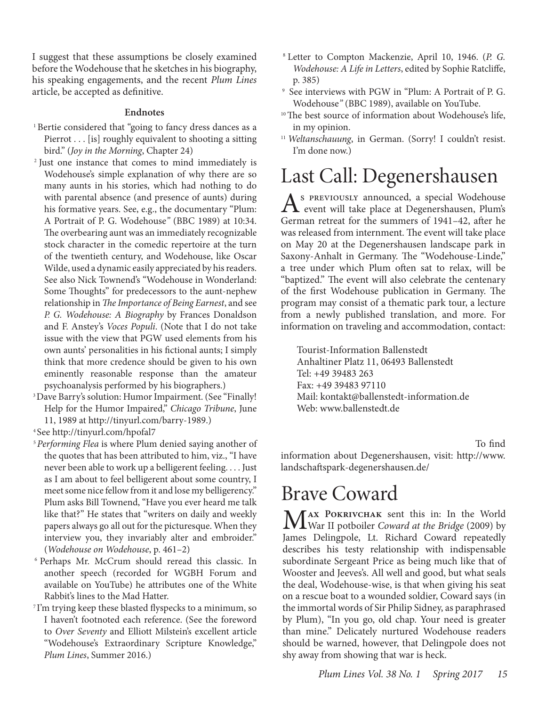I suggest that these assumptions be closely examined before the Wodehouse that he sketches in his biography, his speaking engagements, and the recent *Plum Lines* article, be accepted as definitive.

#### **Endnotes**

- <sup>1</sup> Bertie considered that "going to fancy dress dances as a Pierrot . . . [is] roughly equivalent to shooting a sitting bird." (*Joy in the Morning*, Chapter 24)
- 2 Just one instance that comes to mind immediately is Wodehouse's simple explanation of why there are so many aunts in his stories, which had nothing to do with parental absence (and presence of aunts) during his formative years. See, e.g., the documentary "Plum: A Portrait of P. G. Wodehouse*"* (BBC 1989) at 10:34. The overbearing aunt was an immediately recognizable stock character in the comedic repertoire at the turn of the twentieth century, and Wodehouse, like Oscar Wilde, used a dynamic easily appreciated by his readers. See also Nick Townend's "Wodehouse in Wonderland: Some Thoughts" for predecessors to the aunt-nephew relationship in *The Importance of Being Earnest*, and see *P. G. Wodehouse: A Biography* by Frances Donaldson and F. Anstey's *Voces Populi*. (Note that I do not take issue with the view that PGW used elements from his own aunts' personalities in his fictional aunts; I simply think that more credence should be given to his own eminently reasonable response than the amateur psychoanalysis performed by his biographers.)<br><sup>3</sup> Dave Barry's solution: Humor Impairment. (See "Finally!
- Help for the Humor Impaired," *Chicago Tribune*, June 11, 1989 at http://tinyurl.com/barry-1989.) 4 See http://tinyurl.com/hpofal7
- 
- <sup>5</sup>*Performing Flea* is where Plum denied saying another of the quotes that has been attributed to him, viz., "I have never been able to work up a belligerent feeling. . . . Just as I am about to feel belligerent about some country, I meet some nice fellow from it and lose my belligerency." Plum asks Bill Townend, "Have you ever heard me talk like that?" He states that "writers on daily and weekly papers always go all out for the picturesque. When they interview you, they invariably alter and embroider." (*Wodehouse on Wodehouse*, p. 461–2)
- <sup>6</sup> Perhaps Mr. McCrum should reread this classic. In another speech (recorded for WGBH Forum and available on YouTube) he attributes one of the White Rabbit's lines to the Mad Hatter.<br><sup>7</sup>I'm trying keep these blasted flyspecks to a minimum, so
- I haven't footnoted each reference. (See the foreword to *Over Seventy* and Elliott Milstein's excellent article "Wodehouse's Extraordinary Scripture Knowledge," *Plum Lines*, Summer 2016.)
- 8 Letter to Compton Mackenzie, April 10, 1946. (*P. G. Wodehouse: A Life in Letters*, edited by Sophie Ratcliffe, p. 385) 9 See interviews with PGW in "Plum: A Portrait of P. G.
- Wodehouse*"* (BBC 1989), available on YouTube.
- <sup>10</sup> The best source of information about Wodehouse's life, in my opinion.
- <sup>11</sup> Weltanschauung, in German. (Sorry! I couldn't resist. I'm done now.)

# Last Call: Degenershausen

As PREVIOUSLY announced, a special Wodehouse<br>
Courses notwart for the numerous of 1941-42, then he German retreat for the summers of 1941–42, after he was released from internment. The event will take place on May 20 at the Degenershausen landscape park in Saxony-Anhalt in Germany. The "Wodehouse-Linde," a tree under which Plum often sat to relax, will be "baptized." The event will also celebrate the centenary of the first Wodehouse publication in Germany. The program may consist of a thematic park tour, a lecture from a newly published translation, and more. For information on traveling and accommodation, contact:

Tourist-Information Ballenstedt Anhaltiner Platz 11, 06493 Ballenstedt Tel: +49 39483 263 Fax: +49 39483 97110 Mail: kontakt@ballenstedt-information.de Web: www.ballenstedt.de

to contact Martin Breit: martin.breit: martin.breit: martin.breit: martin.breit: martin.breit: martin.breit: m information about Degenershausen, visit: http://www. landschaftspark-degenershausen.de/

## Brave Coward

M**ax Pokrivchak** sent this in: In the World War II potboiler *Coward at the Bridge* (2009) by James Delingpole, Lt. Richard Coward repeatedly describes his testy relationship with indispensable subordinate Sergeant Price as being much like that of Wooster and Jeeves's. All well and good, but what seals the deal, Wodehouse-wise, is that when giving his seat on a rescue boat to a wounded soldier, Coward says (in the immortal words of Sir Philip Sidney, as paraphrased by Plum), "In you go, old chap. Your need is greater than mine." Delicately nurtured Wodehouse readers should be warned, however, that Delingpole does not shy away from showing that war is heck.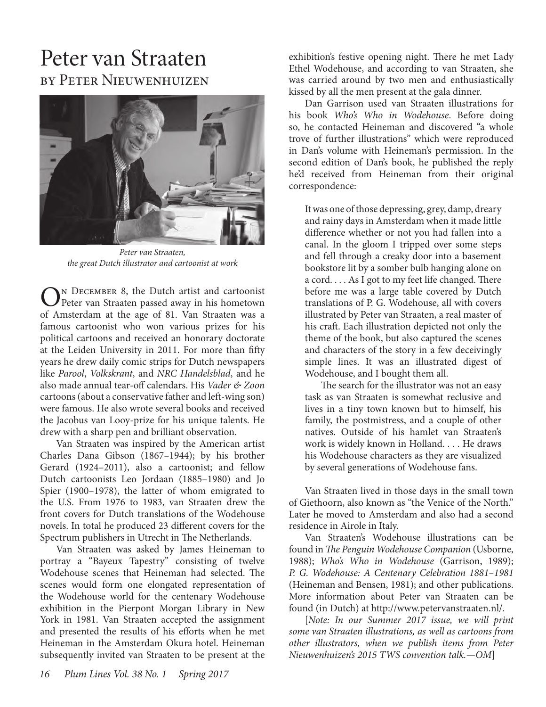## Peter van Straaten by Peter Nieuwenhuizen



*Peter van Straaten, the great Dutch illustrator and cartoonist at work*

 $\bigodot^N$  DECEMBER 8, the Dutch artist and cartoonist<br>Peter van Straaten passed away in his hometown of Amsterdam at the age of 81. Van Straaten was a famous cartoonist who won various prizes for his political cartoons and received an honorary doctorate at the Leiden University in 2011. For more than fifty years he drew daily comic strips for Dutch newspapers like *Parool*, *Volkskrant*, and *NRC Handelsblad*, and he also made annual tear-off calendars. His *Vader & Zoon* cartoons (about a conservative father and left-wing son) were famous. He also wrote several books and received the Jacobus van Looy-prize for his unique talents. He drew with a sharp pen and brilliant observation.

Van Straaten was inspired by the American artist Charles Dana Gibson (1867–1944); by his brother Gerard (1924–2011), also a cartoonist; and fellow Dutch cartoonists Leo Jordaan (1885–1980) and Jo Spier (1900–1978), the latter of whom emigrated to the U.S. From 1976 to 1983, van Straaten drew the front covers for Dutch translations of the Wodehouse novels. In total he produced 23 different covers for the Spectrum publishers in Utrecht in The Netherlands.

Van Straaten was asked by James Heineman to portray a "Bayeux Tapestry" consisting of twelve Wodehouse scenes that Heineman had selected. The scenes would form one elongated representation of the Wodehouse world for the centenary Wodehouse exhibition in the Pierpont Morgan Library in New York in 1981. Van Straaten accepted the assignment and presented the results of his efforts when he met Heineman in the Amsterdam Okura hotel. Heineman subsequently invited van Straaten to be present at the

exhibition's festive opening night. There he met Lady Ethel Wodehouse, and according to van Straaten, she was carried around by two men and enthusiastically kissed by all the men present at the gala dinner.

Dan Garrison used van Straaten illustrations for his book *Who's Who in Wodehouse*. Before doing so, he contacted Heineman and discovered "a whole trove of further illustrations" which were reproduced in Dan's volume with Heineman's permission. In the second edition of Dan's book, he published the reply he'd received from Heineman from their original correspondence:

It was one of those depressing, grey, damp, dreary and rainy days in Amsterdam when it made little difference whether or not you had fallen into a canal. In the gloom I tripped over some steps and fell through a creaky door into a basement bookstore lit by a somber bulb hanging alone on a cord. . . . As I got to my feet life changed. There before me was a large table covered by Dutch translations of P. G. Wodehouse, all with covers illustrated by Peter van Straaten, a real master of his craft. Each illustration depicted not only the theme of the book, but also captured the scenes and characters of the story in a few deceivingly simple lines. It was an illustrated digest of Wodehouse, and I bought them all.

The search for the illustrator was not an easy task as van Straaten is somewhat reclusive and lives in a tiny town known but to himself, his family, the postmistress, and a couple of other natives. Outside of his hamlet van Straaten's work is widely known in Holland. . . . He draws his Wodehouse characters as they are visualized by several generations of Wodehouse fans.

Van Straaten lived in those days in the small town of Giethoorn, also known as "the Venice of the North." Later he moved to Amsterdam and also had a second residence in Airole in Italy.

Van Straaten's Wodehouse illustrations can be found in *The Penguin Wodehouse Companion* (Usborne, 1988); *Who's Who in Wodehouse* (Garrison, 1989); *P. G. Wodehouse: A Centenary Celebration 1881–1981* (Heineman and Bensen, 1981); and other publications. More information about Peter van Straaten can be found (in Dutch) at http://www.petervanstraaten.nl/.

[*Note: In our Summer 2017 issue, we will print some van Straaten illustrations, as well as cartoons from other illustrators, when we publish items from Peter Nieuwenhuizen's 2015 TWS convention talk.—OM*]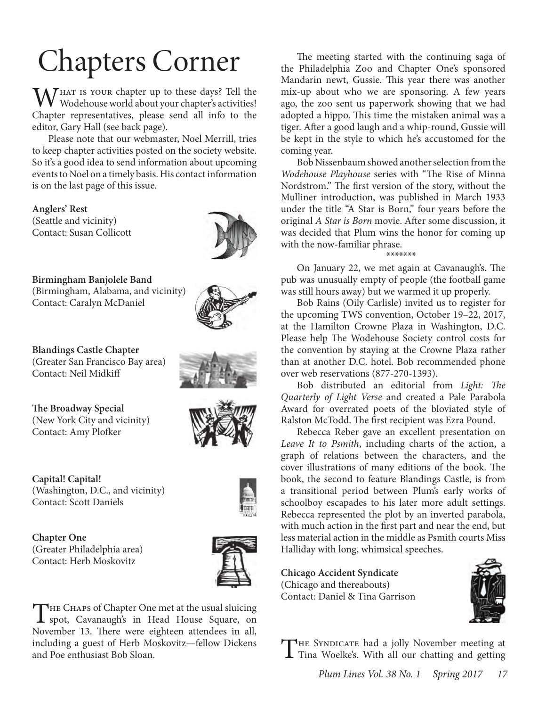# Chapters Corner

M/HAT IS YOUR chapter up to these days? Tell the Wodehouse world about your chapter's activities! Chapter representatives, please send all info to the editor, Gary Hall (see back page).

Please note that our webmaster, Noel Merrill, tries to keep chapter activities posted on the society website. So it's a good idea to send information about upcoming events to Noel on a timely basis. His contact information is on the last page of this issue.

**Anglers' Rest** (Seattle and vicinity) Contact: Susan Collicott



**Birmingham Banjolele Band** (Birmingham, Alabama, and vicinity) Contact: Caralyn McDaniel

**Blandings Castle Chapter** (Greater San Francisco Bay area) Contact: Neil Midkiff

**The Broadway Special** (New York City and vicinity) Contact: Amy Plofker

**Capital! Capital!**  (Washington, D.C., and vicinity) Contact: Scott Daniels

**Chapter One**  (Greater Philadelphia area) Contact: Herb Moskovitz



THE CHAPS of Chapter One met at the usual sluicing<br>spot, Cavanaugh's in Head House Square, on November 13. There were eighteen attendees in all, including a guest of Herb Moskovitz—fellow Dickens and Poe enthusiast Bob Sloan.

The meeting started with the continuing saga of the Philadelphia Zoo and Chapter One's sponsored Mandarin newt, Gussie. This year there was another mix-up about who we are sponsoring. A few years ago, the zoo sent us paperwork showing that we had adopted a hippo. This time the mistaken animal was a tiger. After a good laugh and a whip-round, Gussie will be kept in the style to which he's accustomed for the coming year.

Bob Nissenbaum showed another selection from the *Wodehouse Playhouse* series with "The Rise of Minna Nordstrom." The first version of the story, without the Mulliner introduction, was published in March 1933 under the title "A Star is Born," four years before the original *A Star is Born* movie. After some discussion, it was decided that Plum wins the honor for coming up with the now-familiar phrase.

\*\*\*\*\*\*\*

On January 22, we met again at Cavanaugh's. The pub was unusually empty of people (the football game was still hours away) but we warmed it up properly.

Bob Rains (Oily Carlisle) invited us to register for the upcoming TWS convention, October 19–22, 2017, at the Hamilton Crowne Plaza in Washington, D.C. Please help The Wodehouse Society control costs for the convention by staying at the Crowne Plaza rather than at another D.C. hotel. Bob recommended phone over web reservations (877-270-1393).

Bob distributed an editorial from *Light: The Quarterly of Light Verse* and created a Pale Parabola Award for overrated poets of the bloviated style of Ralston McTodd. The first recipient was Ezra Pound.

Rebecca Reber gave an excellent presentation on *Leave It to Psmith*, including charts of the action, a graph of relations between the characters, and the cover illustrations of many editions of the book. The book, the second to feature Blandings Castle, is from a transitional period between Plum's early works of schoolboy escapades to his later more adult settings. Rebecca represented the plot by an inverted parabola, with much action in the first part and near the end, but less material action in the middle as Psmith courts Miss Halliday with long, whimsical speeches.

**Chicago Accident Syndicate** (Chicago and thereabouts) Contact: Daniel & Tina Garrison



The Syndicate had a jolly November meeting at Tina Woelke's. With all our chatting and getting







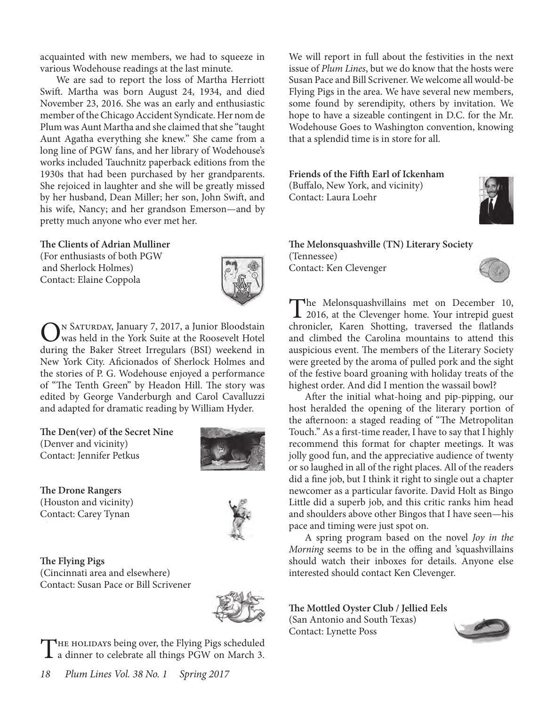acquainted with new members, we had to squeeze in various Wodehouse readings at the last minute.

We are sad to report the loss of Martha Herriott Swift. Martha was born August 24, 1934, and died November 23, 2016. She was an early and enthusiastic member of the Chicago Accident Syndicate. Her nom de Plum was Aunt Martha and she claimed that she "taught Aunt Agatha everything she knew." She came from a long line of PGW fans, and her library of Wodehouse's works included Tauchnitz paperback editions from the 1930s that had been purchased by her grandparents. She rejoiced in laughter and she will be greatly missed by her husband, Dean Miller; her son, John Swift, and his wife, Nancy; and her grandson Emerson—and by pretty much anyone who ever met her.

#### **The Clients of Adrian Mulliner**

(For enthusiasts of both PGW and Sherlock Holmes) Contact: Elaine Coppola



On Saturday, January 7, 2017, a Junior Bloodstain was held in the York Suite at the Roosevelt Hotel during the Baker Street Irregulars (BSI) weekend in New York City. Aficionados of Sherlock Holmes and the stories of P. G. Wodehouse enjoyed a performance of "The Tenth Green" by Headon Hill. The story was edited by George Vanderburgh and Carol Cavalluzzi and adapted for dramatic reading by William Hyder.

**The Den(ver) of the Secret Nine** (Denver and vicinity) Contact: Jennifer Petkus



**The Drone Rangers** (Houston and vicinity) Contact: Carey Tynan



**The Flying Pigs** (Cincinnati area and elsewhere) Contact: Susan Pace or Bill Scrivener



THE HOLIDAYS being over, the Flying Pigs scheduled<br>a dinner to celebrate all things PGW on March 3.

We will report in full about the festivities in the next issue of *Plum Lines*, but we do know that the hosts were Susan Pace and Bill Scrivener. We welcome all would-be Flying Pigs in the area. We have several new members, some found by serendipity, others by invitation. We hope to have a sizeable contingent in D.C. for the Mr. Wodehouse Goes to Washington convention, knowing that a splendid time is in store for all.

**Friends of the Fifth Earl of Ickenham** (Buffalo, New York, and vicinity) Contact: Laura Loehr



**The Melonsquashville (TN) Literary Society** (Tennessee) Contact: Ken Clevenger



The Melonsquashvillains met on December 10,<br>
2016, at the Clevenger home. Your intrepid guest<br>
character Kenne Shatting, transport the flatter de chronicler, Karen Shotting, traversed the flatlands and climbed the Carolina mountains to attend this auspicious event. The members of the Literary Society were greeted by the aroma of pulled pork and the sight of the festive board groaning with holiday treats of the highest order. And did I mention the wassail bowl?

After the initial what-hoing and pip-pipping, our host heralded the opening of the literary portion of the afternoon: a staged reading of "The Metropolitan Touch." As a first-time reader, I have to say that I highly recommend this format for chapter meetings. It was jolly good fun, and the appreciative audience of twenty or so laughed in all of the right places. All of the readers did a fine job, but I think it right to single out a chapter newcomer as a particular favorite. David Holt as Bingo Little did a superb job, and this critic ranks him head and shoulders above other Bingos that I have seen—his pace and timing were just spot on.

A spring program based on the novel *Joy in the Morning* seems to be in the offing and 'squashvillains should watch their inboxes for details. Anyone else interested should contact Ken Clevenger.

**The Mottled Oyster Club / Jellied Eels**

(San Antonio and South Texas) Contact: Lynette Poss

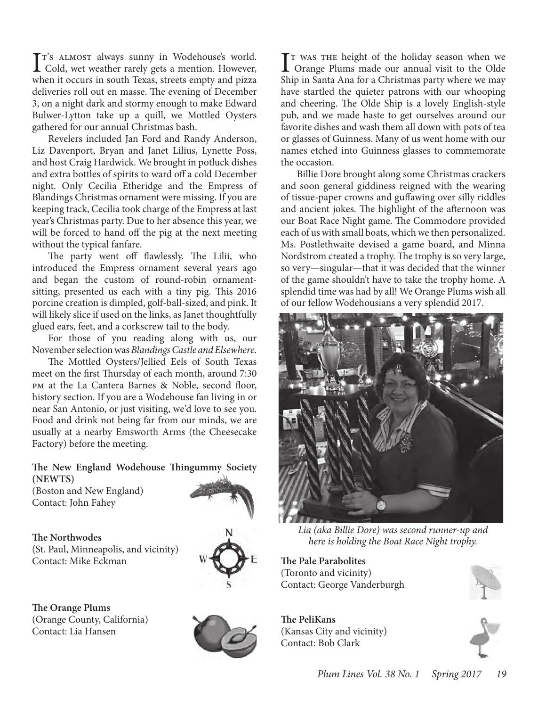I<sup>T's</sup> ALMOST always sunny in Wodehouse's world.<br>
Cold, wet weather rarely gets a mention. However, T's ALMOST always sunny in Wodehouse's world. when it occurs in south Texas, streets empty and pizza deliveries roll out en masse. The evening of December 3, on a night dark and stormy enough to make Edward Bulwer-Lytton take up a quill, we Mottled Oysters gathered for our annual Christmas bash.

Revelers included Jan Ford and Randy Anderson, Liz Davenport, Bryan and Janet Lilius, Lynette Poss, and host Craig Hardwick. We brought in potluck dishes and extra bottles of spirits to ward off a cold December night. Only Cecilia Etheridge and the Empress of Blandings Christmas ornament were missing. If you are keeping track, Cecilia took charge of the Empress at last year's Christmas party. Due to her absence this year, we will be forced to hand off the pig at the next meeting without the typical fanfare.

The party went off flawlessly. The Lilii, who introduced the Empress ornament several years ago and began the custom of round-robin ornamentsitting, presented us each with a tiny pig. This 2016 porcine creation is dimpled, golf-ball-sized, and pink. It will likely slice if used on the links, as Janet thoughtfully glued ears, feet, and a corkscrew tail to the body.

For those of you reading along with us, our November selection was *Blandings Castle and Elsewhere*.

The Mottled Oysters/Jellied Eels of South Texas meet on the first Thursday of each month, around 7:30 pm at the La Cantera Barnes & Noble, second floor, history section. If you are a Wodehouse fan living in or near San Antonio, or just visiting, we'd love to see you. Food and drink not being far from our minds, we are usually at a nearby Emsworth Arms (the Cheesecake Factory) before the meeting.

**The New England Wodehouse Thingummy Society (NEWTS)**

(Boston and New England) Contact: John Fahey

**The Northwodes** (St. Paul, Minneapolis, and vicinity) Contact: Mike Eckman





**The Orange Plums** (Orange County, California) Contact: Lia Hansen



I<sup>T</sup> WAS THE height of the holiday season when we<br>Orange Plums made our annual visit to the Olde  $\mathbf{T}$  was the height of the holiday season when we Ship in Santa Ana for a Christmas party where we may have startled the quieter patrons with our whooping and cheering. The Olde Ship is a lovely English-style pub, and we made haste to get ourselves around our favorite dishes and wash them all down with pots of tea or glasses of Guinness. Many of us went home with our names etched into Guinness glasses to commemorate the occasion.

Billie Dore brought along some Christmas crackers and soon general giddiness reigned with the wearing of tissue-paper crowns and guffawing over silly riddles and ancient jokes. The highlight of the afternoon was our Boat Race Night game. The Commodore provided each of us with small boats, which we then personalized. Ms. Postlethwaite devised a game board, and Minna Nordstrom created a trophy. The trophy is so very large, so very—singular—that it was decided that the winner of the game shouldn't have to take the trophy home. A splendid time was had by all! We Orange Plums wish all of our fellow Wodehousians a very splendid 2017.



*Lia (aka Billie Dore) was second runner-up and here is holding the Boat Race Night trophy.*

**The Pale Parabolites** (Toronto and vicinity) Contact: George Vanderburgh

**The PeliKans** (Kansas City and vicinity) Contact: Bob Clark

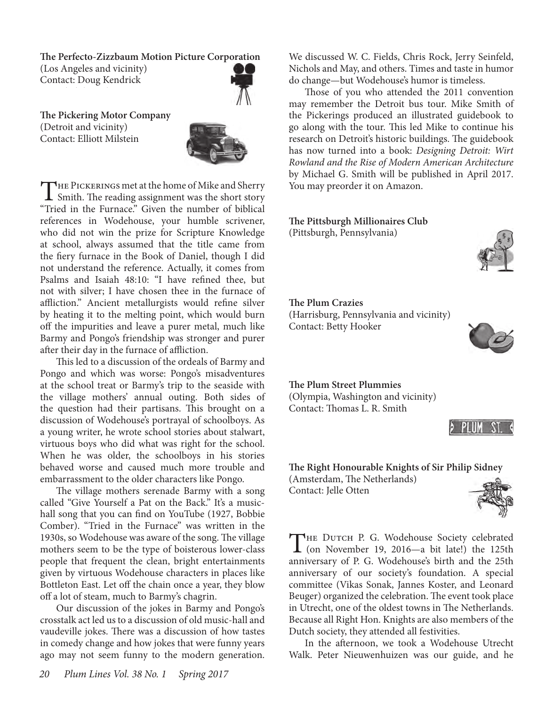**The Perfecto-Zizzbaum Motion Picture Corporation** (Los Angeles and vicinity) Contact: Doug Kendrick



**The Pickering Motor Company** (Detroit and vicinity) Contact: Elliott Milstein



THE PICKERINGS met at the home of Mike and Sherry  $\blacksquare$  Smith. The reading assignment was the short story "Tried in the Furnace." Given the number of biblical references in Wodehouse, your humble scrivener, who did not win the prize for Scripture Knowledge at school, always assumed that the title came from the fiery furnace in the Book of Daniel, though I did not understand the reference. Actually, it comes from Psalms and Isaiah 48:10: "I have refined thee, but not with silver; I have chosen thee in the furnace of affliction." Ancient metallurgists would refine silver by heating it to the melting point, which would burn off the impurities and leave a purer metal, much like Barmy and Pongo's friendship was stronger and purer after their day in the furnace of affliction.

This led to a discussion of the ordeals of Barmy and Pongo and which was worse: Pongo's misadventures at the school treat or Barmy's trip to the seaside with the village mothers' annual outing. Both sides of the question had their partisans. This brought on a discussion of Wodehouse's portrayal of schoolboys. As a young writer, he wrote school stories about stalwart, virtuous boys who did what was right for the school. When he was older, the schoolboys in his stories behaved worse and caused much more trouble and embarrassment to the older characters like Pongo.

The village mothers serenade Barmy with a song called "Give Yourself a Pat on the Back." It's a musichall song that you can find on YouTube (1927, Bobbie Comber). "Tried in the Furnace" was written in the 1930s, so Wodehouse was aware of the song. The village mothers seem to be the type of boisterous lower-class people that frequent the clean, bright entertainments given by virtuous Wodehouse characters in places like Bottleton East. Let off the chain once a year, they blow off a lot of steam, much to Barmy's chagrin.

Our discussion of the jokes in Barmy and Pongo's crosstalk act led us to a discussion of old music-hall and vaudeville jokes. There was a discussion of how tastes in comedy change and how jokes that were funny years ago may not seem funny to the modern generation.

We discussed W. C. Fields, Chris Rock, Jerry Seinfeld, Nichols and May, and others. Times and taste in humor do change—but Wodehouse's humor is timeless.

Those of you who attended the 2011 convention may remember the Detroit bus tour. Mike Smith of the Pickerings produced an illustrated guidebook to go along with the tour. This led Mike to continue his research on Detroit's historic buildings. The guidebook has now turned into a book: *Designing Detroit: Wirt Rowland and the Rise of Modern American Architecture* by Michael G. Smith will be published in April 2017. You may preorder it on Amazon.

**The Pittsburgh Millionaires Club** (Pittsburgh, Pennsylvania)



**The Plum Crazies** (Harrisburg, Pennsylvania and vicinity)

Contact: Betty Hooker



#### **The Plum Street Plummies**

(Olympia, Washington and vicinity) Contact: Thomas L. R. Smith



**The Right Honourable Knights of Sir Philip Sidney** (Amsterdam, The Netherlands) Contact: Jelle Otten



THE DUTCH P. G. Wodehouse Society celebrated<br>
(on November 19, 2016—a bit late!) the 125th anniversary of P. G. Wodehouse's birth and the 25th anniversary of our society's foundation. A special committee (Vikas Sonak, Jannes Koster, and Leonard Beuger) organized the celebration. The event took place in Utrecht, one of the oldest towns in The Netherlands. Because all Right Hon. Knights are also members of the Dutch society, they attended all festivities.

In the afternoon, we took a Wodehouse Utrecht Walk. Peter Nieuwenhuizen was our guide, and he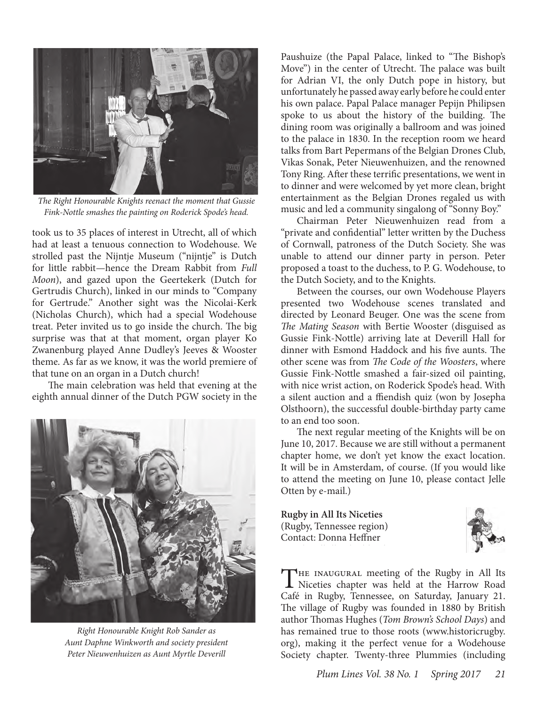

*The Right Honourable Knights reenact the moment that Gussie Fink-Nottle smashes the painting on Roderick Spode's head.* 

took us to 35 places of interest in Utrecht, all of which had at least a tenuous connection to Wodehouse. We strolled past the Nijntje Museum ("nijntje" is Dutch for little rabbit—hence the Dream Rabbit from *Full Moon*), and gazed upon the Geertekerk (Dutch for Gertrudis Church), linked in our minds to "Company for Gertrude." Another sight was the Nicolai-Kerk (Nicholas Church), which had a special Wodehouse treat. Peter invited us to go inside the church. The big surprise was that at that moment, organ player Ko Zwanenburg played Anne Dudley's Jeeves & Wooster theme. As far as we know, it was the world premiere of that tune on an organ in a Dutch church!

The main celebration was held that evening at the eighth annual dinner of the Dutch PGW society in the



*Right Honourable Knight Rob Sander as Aunt Daphne Winkworth and society president Peter Nieuwenhuizen as Aunt Myrtle Deverill*

Paushuize (the Papal Palace, linked to "The Bishop's Move") in the center of Utrecht. The palace was built for Adrian VI, the only Dutch pope in history, but unfortunately he passed away early before he could enter his own palace. Papal Palace manager Pepijn Philipsen spoke to us about the history of the building. The dining room was originally a ballroom and was joined to the palace in 1830. In the reception room we heard talks from Bart Pepermans of the Belgian Drones Club, Vikas Sonak, Peter Nieuwenhuizen, and the renowned Tony Ring. After these terrific presentations, we went in to dinner and were welcomed by yet more clean, bright entertainment as the Belgian Drones regaled us with music and led a community singalong of "Sonny Boy."

Chairman Peter Nieuwenhuizen read from a "private and confidential" letter written by the Duchess of Cornwall, patroness of the Dutch Society. She was unable to attend our dinner party in person. Peter proposed a toast to the duchess, to P. G. Wodehouse, to the Dutch Society, and to the Knights.

Between the courses, our own Wodehouse Players presented two Wodehouse scenes translated and directed by Leonard Beuger. One was the scene from *The Mating Season* with Bertie Wooster (disguised as Gussie Fink-Nottle) arriving late at Deverill Hall for dinner with Esmond Haddock and his five aunts. The other scene was from *The Code of the Woosters*, where Gussie Fink-Nottle smashed a fair-sized oil painting, with nice wrist action, on Roderick Spode's head. With a silent auction and a ffiendish quiz (won by Josepha Olsthoorn), the successful double-birthday party came to an end too soon.

The next regular meeting of the Knights will be on June 10, 2017. Because we are still without a permanent chapter home, we don't yet know the exact location. It will be in Amsterdam, of course. (If you would like to attend the meeting on June 10, please contact Jelle Otten by e-mail.)

**Rugby in All Its Niceties** (Rugby, Tennessee region) Contact: Donna Heffner



THE INAUGURAL meeting of the Rugby in All Its<br>Niceties chapter was held at the Harrow Road Café in Rugby, Tennessee, on Saturday, January 21. The village of Rugby was founded in 1880 by British author Thomas Hughes (*Tom Brown's School Days*) and has remained true to those roots (www.historicrugby. org), making it the perfect venue for a Wodehouse Society chapter. Twenty-three Plummies (including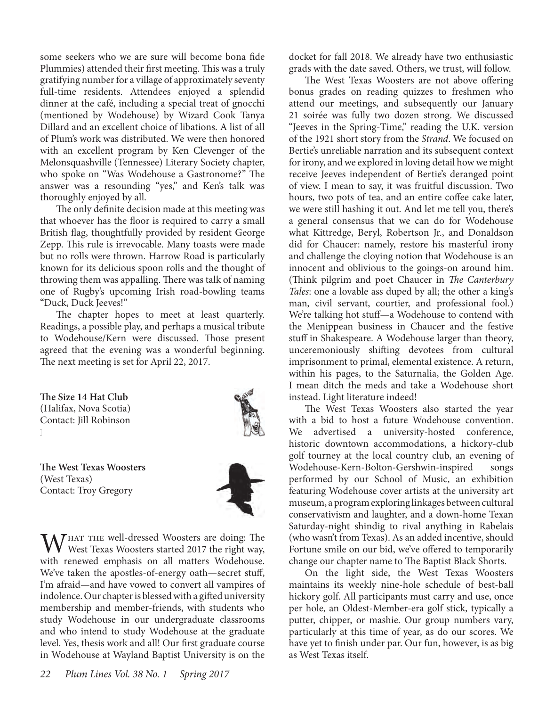some seekers who we are sure will become bona fide Plummies) attended their first meeting. This was a truly gratifying number for a village of approximately seventy full-time residents. Attendees enjoyed a splendid dinner at the café, including a special treat of gnocchi (mentioned by Wodehouse) by Wizard Cook Tanya Dillard and an excellent choice of libations. A list of all of Plum's work was distributed. We were then honored with an excellent program by Ken Clevenger of the Melonsquashville (Tennessee) Literary Society chapter, who spoke on "Was Wodehouse a Gastronome?" The answer was a resounding "yes," and Ken's talk was thoroughly enjoyed by all.

The only definite decision made at this meeting was that whoever has the floor is required to carry a small British flag, thoughtfully provided by resident George Zepp. This rule is irrevocable. Many toasts were made but no rolls were thrown. Harrow Road is particularly known for its delicious spoon rolls and the thought of throwing them was appalling. There was talk of naming one of Rugby's upcoming Irish road-bowling teams "Duck, Duck Jeeves!"

The chapter hopes to meet at least quarterly. Readings, a possible play, and perhaps a musical tribute to Wodehouse/Kern were discussed. Those present agreed that the evening was a wonderful beginning. The next meeting is set for April 22, 2017.





**The West Texas Woosters** (West Texas) Contact: Troy Gregory



WHAT THE Well-dressed Woosters are doing: The West Texas Woosters started 2017 the right way, with renewed emphasis on all matters Wodehouse. We've taken the apostles-of-energy oath—secret stuff, I'm afraid—and have vowed to convert all vampires of indolence. Our chapter is blessed with a gifted university membership and member-friends, with students who study Wodehouse in our undergraduate classrooms and who intend to study Wodehouse at the graduate level. Yes, thesis work and all! Our first graduate course in Wodehouse at Wayland Baptist University is on the

docket for fall 2018. We already have two enthusiastic grads with the date saved. Others, we trust, will follow.

The West Texas Woosters are not above offering bonus grades on reading quizzes to freshmen who attend our meetings, and subsequently our January 21 soirée was fully two dozen strong. We discussed "Jeeves in the Spring-Time," reading the U.K. version of the 1921 short story from the *Strand*. We focused on Bertie's unreliable narration and its subsequent context for irony, and we explored in loving detail how we might receive Jeeves independent of Bertie's deranged point of view. I mean to say, it was fruitful discussion. Two hours, two pots of tea, and an entire coffee cake later, we were still hashing it out. And let me tell you, there's a general consensus that we can do for Wodehouse what Kittredge, Beryl, Robertson Jr., and Donaldson did for Chaucer: namely, restore his masterful irony and challenge the cloying notion that Wodehouse is an innocent and oblivious to the goings-on around him. (Think pilgrim and poet Chaucer in *The Canterbury Tales*: one a lovable ass duped by all; the other a king's man, civil servant, courtier, and professional fool.) We're talking hot stuff—a Wodehouse to contend with the Menippean business in Chaucer and the festive stuff in Shakespeare. A Wodehouse larger than theory, unceremoniously shifting devotees from cultural imprisonment to primal, elemental existence. A return, within his pages, to the Saturnalia, the Golden Age. I mean ditch the meds and take a Wodehouse short instead. Light literature indeed!

The West Texas Woosters also started the year with a bid to host a future Wodehouse convention. We advertised a university-hosted conference, historic downtown accommodations, a hickory-club golf tourney at the local country club, an evening of Wodehouse-Kern-Bolton-Gershwin-inspired songs performed by our School of Music, an exhibition featuring Wodehouse cover artists at the university art museum, a program exploring linkages between cultural conservativism and laughter, and a down-home Texan Saturday-night shindig to rival anything in Rabelais (who wasn't from Texas). As an added incentive, should Fortune smile on our bid, we've offered to temporarily change our chapter name to The Baptist Black Shorts.

On the light side, the West Texas Woosters maintains its weekly nine-hole schedule of best-ball hickory golf. All participants must carry and use, once per hole, an Oldest-Member-era golf stick, typically a putter, chipper, or mashie. Our group numbers vary, particularly at this time of year, as do our scores. We have yet to finish under par. Our fun, however, is as big as West Texas itself.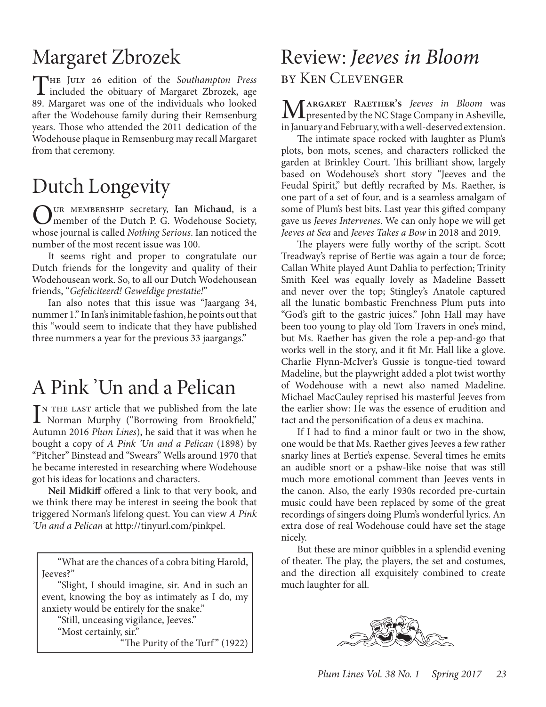# Margaret Zbrozek

The July 26 edition of the *Southampton Press* included the obituary of Margaret Zbrozek, age 89. Margaret was one of the individuals who looked after the Wodehouse family during their Remsenburg years. Those who attended the 2011 dedication of the Wodehouse plaque in Remsenburg may recall Margaret from that ceremony.

# Dutch Longevity

Our membership secretary, **Ian Michaud**, is a member of the Dutch P. G. Wodehouse Society, whose journal is called *Nothing Serious*. Ian noticed the number of the most recent issue was 100.

It seems right and proper to congratulate our Dutch friends for the longevity and quality of their Wodehousean work. So, to all our Dutch Wodehousean friends, "*Gefeliciteerd! Geweldige prestatie!*"

Ian also notes that this issue was "Jaargang 34, nummer 1." In Ian's inimitable fashion, he points out that this "would seem to indicate that they have published three nummers a year for the previous 33 jaargangs."

# A Pink 'Un and a Pelican

IN THE LAST article that we published from the late<br>
Norman Murphy ("Borrowing from Brookfield,"<br>
Actuary 2016 Plane Lines) have identified in a scale who Norman Murphy ("Borrowing from Brookfield," Autumn 2016 *Plum Lines*), he said that it was when he bought a copy of *A Pink 'Un and a Pelican* (1898) by "Pitcher" Binstead and "Swears" Wells around 1970 that he became interested in researching where Wodehouse got his ideas for locations and characters.

**Neil Midkiff** offered a link to that very book, and we think there may be interest in seeing the book that triggered Norman's lifelong quest. You can view *A Pink 'Un and a Pelican* at http://tinyurl.com/pinkpel.

"What are the chances of a cobra biting Harold, Jeeves?"

"Slight, I should imagine, sir. And in such an event, knowing the boy as intimately as I do, my anxiety would be entirely for the snake."

"Still, unceasing vigilance, Jeeves." "Most certainly, sir."

"The Purity of the Turf" (1922)

## Review: *Jeeves in Bloom* by Ken Clevenger

M**argaret Raether's** *Jeeves in Bloom* was presented by the NC Stage Company in Asheville, in January and February, with a well-deserved extension.

The intimate space rocked with laughter as Plum's plots, bon mots, scenes, and characters rollicked the garden at Brinkley Court. This brilliant show, largely based on Wodehouse's short story "Jeeves and the Feudal Spirit," but deftly recrafted by Ms. Raether, is one part of a set of four, and is a seamless amalgam of some of Plum's best bits. Last year this gifted company gave us *Jeeves Intervenes*. We can only hope we will get *Jeeves at Sea* and *Jeeves Takes a Bow* in 2018 and 2019.

The players were fully worthy of the script. Scott Treadway's reprise of Bertie was again a tour de force; Callan White played Aunt Dahlia to perfection; Trinity Smith Keel was equally lovely as Madeline Bassett and never over the top; Stingley's Anatole captured all the lunatic bombastic Frenchness Plum puts into "God's gift to the gastric juices." John Hall may have been too young to play old Tom Travers in one's mind, but Ms. Raether has given the role a pep-and-go that works well in the story, and it fit Mr. Hall like a glove. Charlie Flynn-McIver's Gussie is tongue-tied toward Madeline, but the playwright added a plot twist worthy of Wodehouse with a newt also named Madeline. Michael MacCauley reprised his masterful Jeeves from the earlier show: He was the essence of erudition and tact and the personification of a deus ex machina.

If I had to find a minor fault or two in the show, one would be that Ms. Raether gives Jeeves a few rather snarky lines at Bertie's expense. Several times he emits an audible snort or a pshaw-like noise that was still much more emotional comment than Jeeves vents in the canon. Also, the early 1930s recorded pre-curtain music could have been replaced by some of the great recordings of singers doing Plum's wonderful lyrics. An extra dose of real Wodehouse could have set the stage nicely.

But these are minor quibbles in a splendid evening of theater. The play, the players, the set and costumes, and the direction all exquisitely combined to create much laughter for all.